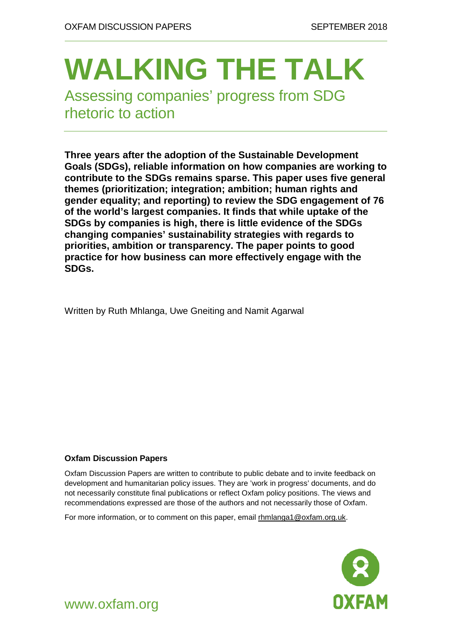# **WALKING THE TALK**

Assessing companies' progress from SDG rhetoric to action

**Three years after the adoption of the Sustainable Development Goals (SDGs), reliable information on how companies are working to contribute to the SDGs remains sparse. This paper uses five general themes (prioritization; integration; ambition; human rights and gender equality; and reporting) to review the SDG engagement of 76 of the world's largest companies. It finds that while uptake of the SDGs by companies is high, there is little evidence of the SDGs changing companies' sustainability strategies with regards to priorities, ambition or transparency. The paper points to good practice for how business can more effectively engage with the SDGs.**

Written by Ruth Mhlanga, Uwe Gneiting and Namit Agarwal

#### **Oxfam Discussion Papers**

Oxfam Discussion Papers are written to contribute to public debate and to invite feedback on development and humanitarian policy issues. They are 'work in progress' documents, and do not necessarily constitute final publications or reflect Oxfam policy positions. The views and recommendations expressed are those of the authors and not necessarily those of Oxfam.

For more information, or to comment on this paper, email [rhmlanga1@oxfam.org.uk.](mailto:rhmlanga1@oxfam.org.uk)



www.oxfam.org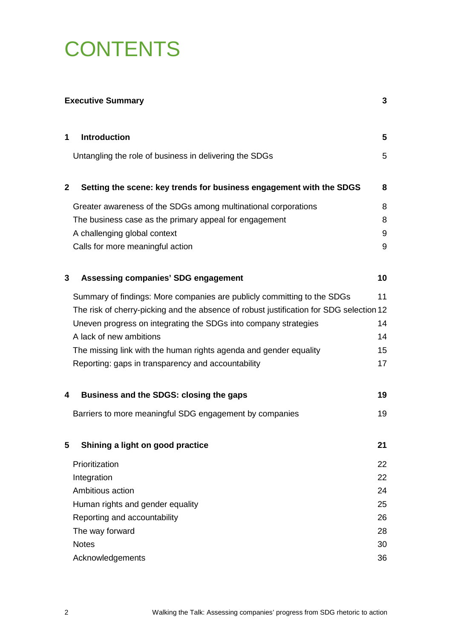# **CONTENTS**

| <b>Executive Summary</b> |                                                                                         | 3               |
|--------------------------|-----------------------------------------------------------------------------------------|-----------------|
| 1                        | <b>Introduction</b>                                                                     | $5\phantom{.0}$ |
|                          | Untangling the role of business in delivering the SDGs                                  | 5               |
| $\mathbf{2}$             | Setting the scene: key trends for business engagement with the SDGS                     | 8               |
|                          | Greater awareness of the SDGs among multinational corporations                          | 8               |
|                          | The business case as the primary appeal for engagement                                  | 8               |
|                          | A challenging global context                                                            | 9               |
|                          | Calls for more meaningful action                                                        | 9               |
| 3                        | <b>Assessing companies' SDG engagement</b>                                              | 10              |
|                          | Summary of findings: More companies are publicly committing to the SDGs                 | 11              |
|                          | The risk of cherry-picking and the absence of robust justification for SDG selection 12 |                 |
|                          | Uneven progress on integrating the SDGs into company strategies                         | 14              |
|                          | A lack of new ambitions                                                                 | 14              |
|                          | The missing link with the human rights agenda and gender equality                       | 15              |
|                          | Reporting: gaps in transparency and accountability                                      | 17              |
| 4                        | Business and the SDGS: closing the gaps                                                 | 19              |
|                          | Barriers to more meaningful SDG engagement by companies                                 | 19              |
| 5                        | Shining a light on good practice                                                        | 21              |
|                          | Prioritization                                                                          | 22              |
|                          | Integration                                                                             | 22              |
|                          | Ambitious action                                                                        | 24              |
|                          | Human rights and gender equality                                                        | 25              |
|                          | Reporting and accountability                                                            | 26              |
|                          | The way forward                                                                         | 28              |
|                          | <b>Notes</b>                                                                            | 30              |
|                          | Acknowledgements                                                                        | 36              |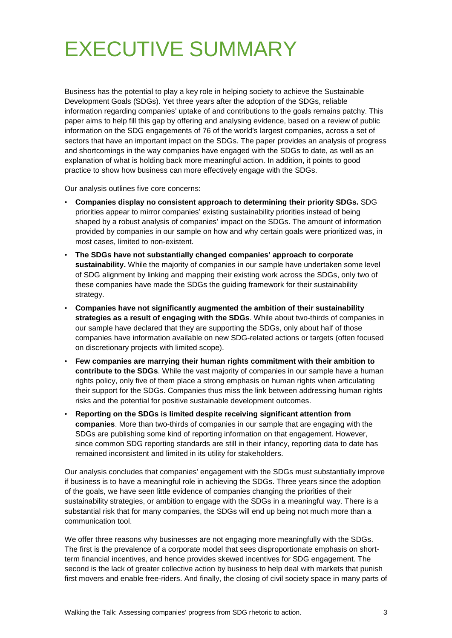# <span id="page-2-0"></span>EXECUTIVE SUMMARY

Business has the potential to play a key role in helping society to achieve the Sustainable Development Goals (SDGs). Yet three years after the adoption of the SDGs, reliable information regarding companies' uptake of and contributions to the goals remains patchy. This paper aims to help fill this gap by offering and analysing evidence, based on a review of public information on the SDG engagements of 76 of the world's largest companies, across a set of sectors that have an important impact on the SDGs. The paper provides an analysis of progress and shortcomings in the way companies have engaged with the SDGs to date, as well as an explanation of what is holding back more meaningful action. In addition, it points to good practice to show how business can more effectively engage with the SDGs.

Our analysis outlines five core concerns:

- **Companies display no consistent approach to determining their priority SDGs.** SDG priorities appear to mirror companies' existing sustainability priorities instead of being shaped by a robust analysis of companies' impact on the SDGs. The amount of information provided by companies in our sample on how and why certain goals were prioritized was, in most cases, limited to non-existent.
- **The SDGs have not substantially changed companies' approach to corporate sustainability.** While the majority of companies in our sample have undertaken some level of SDG alignment by linking and mapping their existing work across the SDGs, only two of these companies have made the SDGs the guiding framework for their sustainability strategy.
- **Companies have not significantly augmented the ambition of their sustainability strategies as a result of engaging with the SDGs**. While about two-thirds of companies in our sample have declared that they are supporting the SDGs, only about half of those companies have information available on new SDG-related actions or targets (often focused on discretionary projects with limited scope).
- **Few companies are marrying their human rights commitment with their ambition to contribute to the SDGs**. While the vast majority of companies in our sample have a human rights policy, only five of them place a strong emphasis on human rights when articulating their support for the SDGs. Companies thus miss the link between addressing human rights risks and the potential for positive sustainable development outcomes.
- **Reporting on the SDGs is limited despite receiving significant attention from companies**. More than two-thirds of companies in our sample that are engaging with the SDGs are publishing some kind of reporting information on that engagement. However, since common SDG reporting standards are still in their infancy, reporting data to date has remained inconsistent and limited in its utility for stakeholders.

Our analysis concludes that companies' engagement with the SDGs must substantially improve if business is to have a meaningful role in achieving the SDGs. Three years since the adoption of the goals, we have seen little evidence of companies changing the priorities of their sustainability strategies, or ambition to engage with the SDGs in a meaningful way. There is a substantial risk that for many companies, the SDGs will end up being not much more than a communication tool.

We offer three reasons why businesses are not engaging more meaningfully with the SDGs. The first is the prevalence of a corporate model that sees disproportionate emphasis on shortterm financial incentives, and hence provides skewed incentives for SDG engagement. The second is the lack of greater collective action by business to help deal with markets that punish first movers and enable free-riders. And finally, the closing of civil society space in many parts of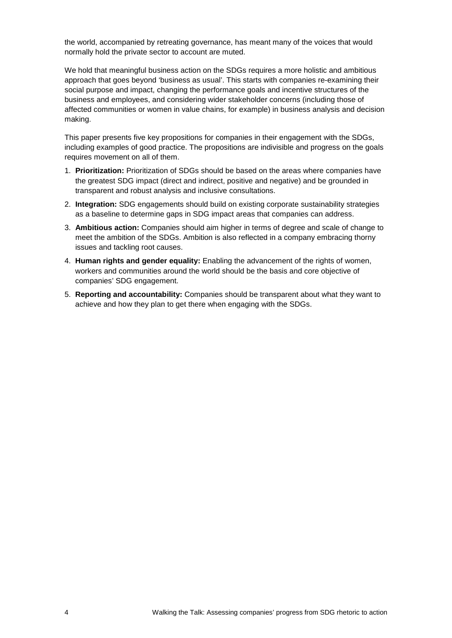the world, accompanied by retreating governance, has meant many of the voices that would normally hold the private sector to account are muted.

We hold that meaningful business action on the SDGs requires a more holistic and ambitious approach that goes beyond 'business as usual'. This starts with companies re-examining their social purpose and impact, changing the performance goals and incentive structures of the business and employees, and considering wider stakeholder concerns (including those of affected communities or women in value chains, for example) in business analysis and decision making.

This paper presents five key propositions for companies in their engagement with the SDGs, including examples of good practice. The propositions are indivisible and progress on the goals requires movement on all of them.

- 1. **Prioritization:** Prioritization of SDGs should be based on the areas where companies have the greatest SDG impact (direct and indirect, positive and negative) and be grounded in transparent and robust analysis and inclusive consultations.
- 2. **Integration:** SDG engagements should build on existing corporate sustainability strategies as a baseline to determine gaps in SDG impact areas that companies can address.
- 3. **Ambitious action:** Companies should aim higher in terms of degree and scale of change to meet the ambition of the SDGs. Ambition is also reflected in a company embracing thorny issues and tackling root causes.
- 4. **Human rights and gender equality:** Enabling the advancement of the rights of women, workers and communities around the world should be the basis and core objective of companies' SDG engagement.
- 5. **Reporting and accountability:** Companies should be transparent about what they want to achieve and how they plan to get there when engaging with the SDGs.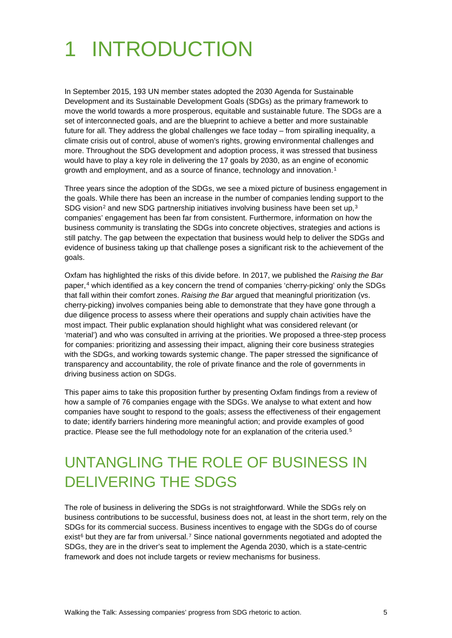# <span id="page-4-0"></span>1 INTRODUCTION

In September 2015, 193 UN member states adopted the 2030 Agenda for Sustainable Development and its Sustainable Development Goals (SDGs) as the primary framework to move the world towards a more prosperous, equitable and sustainable future. The SDGs are a set of interconnected goals, and are the blueprint to achieve a better and more sustainable future for all. They address the global challenges we face today – from spiralling inequality, a climate crisis out of control, abuse of women's rights, growing environmental challenges and more. Throughout the SDG development and adoption process, it was stressed that business would have to play a key role in delivering the 17 goals by 2030, as an engine of economic growth and employment, and as a source of finance, technology and innovation.<sup>[1](#page-29-1)</sup>

Three years since the adoption of the SDGs, we see a mixed picture of business engagement in the goals. While there has been an increase in the number of companies lending support to the SDG vision<sup>[2](#page-29-2)</sup> and new SDG partnership initiatives involving business have been set up,  $3$ companies' engagement has been far from consistent. Furthermore, information on how the business community is translating the SDGs into concrete objectives, strategies and actions is still patchy. The gap between the expectation that business would help to deliver the SDGs and evidence of business taking up that challenge poses a significant risk to the achievement of the goals.

Oxfam has highlighted the risks of this divide before. In 2017, we published the *Raising the Bar* paper,<sup>[4](#page-29-4)</sup> which identified as a key concern the trend of companies 'cherry-picking' only the SDGs that fall within their comfort zones. *Raising the Bar* argued that meaningful prioritization (vs. cherry-picking) involves companies being able to demonstrate that they have gone through a due diligence process to assess where their operations and supply chain activities have the most impact. Their public explanation should highlight what was considered relevant (or 'material') and who was consulted in arriving at the priorities. We proposed a three-step process for companies: prioritizing and assessing their impact, aligning their core business strategies with the SDGs, and working towards systemic change. The paper stressed the significance of transparency and accountability, the role of private finance and the role of governments in driving business action on SDGs.

This paper aims to take this proposition further by presenting Oxfam findings from a review of how a sample of 76 companies engage with the SDGs. We analyse to what extent and how companies have sought to respond to the goals; assess the effectiveness of their engagement to date; identify barriers hindering more meaningful action; and provide examples of good practice. Please see the full methodology note for an explanation of the criteria used.[5](#page-29-5)

## <span id="page-4-1"></span>UNTANGLING THE ROLE OF BUSINESS IN DELIVERING THE SDGS

The role of business in delivering the SDGs is not straightforward. While the SDGs rely on business contributions to be successful, business does not, at least in the short term, rely on the SDGs for its commercial success. Business incentives to engage with the SDGs do of course exist<sup>[6](#page-29-6)</sup> but they are far from universal.<sup>[7](#page-29-7)</sup> Since national governments negotiated and adopted the SDGs, they are in the driver's seat to implement the Agenda 2030, which is a state-centric framework and does not include targets or review mechanisms for business.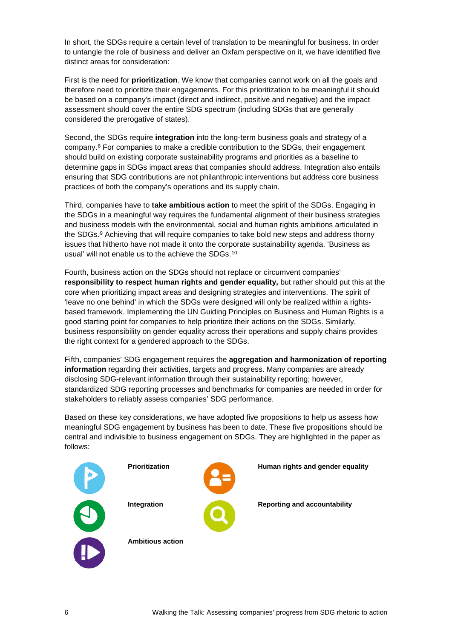In short, the SDGs require a certain level of translation to be meaningful for business. In order to untangle the role of business and deliver an Oxfam perspective on it, we have identified five distinct areas for consideration:

First is the need for **prioritization**. We know that companies cannot work on all the goals and therefore need to prioritize their engagements. For this prioritization to be meaningful it should be based on a company's impact (direct and indirect, positive and negative) and the impact assessment should cover the entire SDG spectrum (including SDGs that are generally considered the prerogative of states).

Second, the SDGs require **integration** into the long-term business goals and strategy of a company.[8](#page-29-8) For companies to make a credible contribution to the SDGs, their engagement should build on existing corporate sustainability programs and priorities as a baseline to determine gaps in SDGs impact areas that companies should address. Integration also entails ensuring that SDG contributions are not philanthropic interventions but address core business practices of both the company's operations and its supply chain.

Third, companies have to **take ambitious action** to meet the spirit of the SDGs. Engaging in the SDGs in a meaningful way requires the fundamental alignment of their business strategies and business models with the environmental, social and human rights ambitions articulated in the SDGs.[9](#page-29-9) Achieving that will require companies to take bold new steps and address thorny issues that hitherto have not made it onto the corporate sustainability agenda. 'Business as usual' will not enable us to the achieve the SDGs.[10](#page-29-10)

Fourth, business action on the SDGs should not replace or circumvent companies' **responsibility to respect human rights and gender equality,** but rather should put this at the core when prioritizing impact areas and designing strategies and interventions. The spirit of 'leave no one behind' in which the SDGs were designed will only be realized within a rightsbased framework. Implementing the UN Guiding Principles on Business and Human Rights is a good starting point for companies to help prioritize their actions on the SDGs. Similarly, business responsibility on gender equality across their operations and supply chains provides the right context for a gendered approach to the SDGs.

Fifth, companies' SDG engagement requires the **aggregation and harmonization of reporting information** regarding their activities, targets and progress. Many companies are already disclosing SDG-relevant information through their sustainability reporting; however, standardized SDG reporting processes and benchmarks for companies are needed in order for stakeholders to reliably assess companies' SDG performance.

Based on these key considerations, we have adopted five propositions to help us assess how meaningful SDG engagement by business has been to date. These five propositions should be central and indivisible to business engagement on SDGs. They are highlighted in the paper as follows:

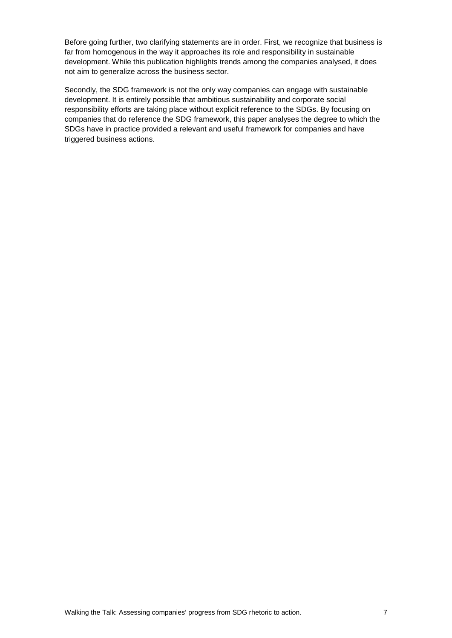Before going further, two clarifying statements are in order. First, we recognize that business is far from homogenous in the way it approaches its role and responsibility in sustainable development. While this publication highlights trends among the companies analysed, it does not aim to generalize across the business sector.

Secondly, the SDG framework is not the only way companies can engage with sustainable development. It is entirely possible that ambitious sustainability and corporate social responsibility efforts are taking place without explicit reference to the SDGs. By focusing on companies that do reference the SDG framework, this paper analyses the degree to which the SDGs have in practice provided a relevant and useful framework for companies and have triggered business actions.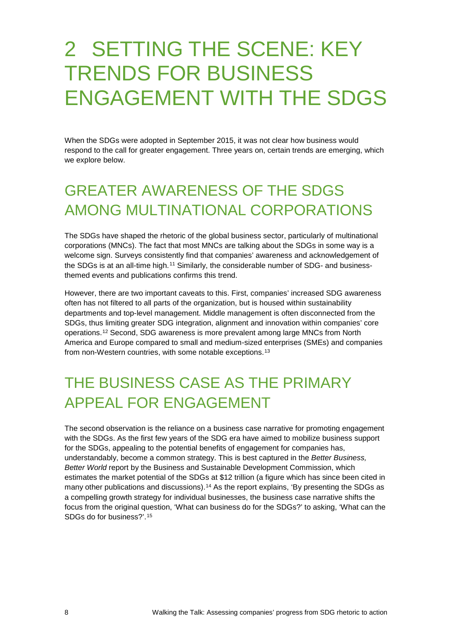# <span id="page-7-0"></span>2 SETTING THE SCENE: KEY TRENDS FOR BUSINESS ENGAGEMENT WITH THE SDGS

When the SDGs were adopted in September 2015, it was not clear how business would respond to the call for greater engagement. Three years on, certain trends are emerging, which we explore below.

## <span id="page-7-1"></span>GREATER AWARENESS OF THE SDGS AMONG MULTINATIONAL CORPORATIONS

The SDGs have shaped the rhetoric of the global business sector, particularly of multinational corporations (MNCs). The fact that most MNCs are talking about the SDGs in some way is a welcome sign. Surveys consistently find that companies' awareness and acknowledgement of the SDGs is at an all-time high.<sup>[11](#page-29-11)</sup> Similarly, the considerable number of SDG- and businessthemed events and publications confirms this trend.

However, there are two important caveats to this. First, companies' increased SDG awareness often has not filtered to all parts of the organization, but is housed within sustainability departments and top-level management. Middle management is often disconnected from the SDGs, thus limiting greater SDG integration, alignment and innovation within companies' core operations.[12](#page-29-12) Second, SDG awareness is more prevalent among large MNCs from North America and Europe compared to small and medium-sized enterprises (SMEs) and companies from non-Western countries, with some notable exceptions.<sup>[13](#page-29-13)</sup>

## <span id="page-7-2"></span>THE BUSINESS CASE AS THE PRIMARY APPEAL FOR ENGAGEMENT

The second observation is the reliance on a business case narrative for promoting engagement with the SDGs. As the first few years of the SDG era have aimed to mobilize business support for the SDGs, appealing to the potential benefits of engagement for companies has, understandably, become a common strategy. This is best captured in the *Better Business, Better World* report by the Business and Sustainable Development Commission, which estimates the market potential of the SDGs at \$12 trillion (a figure which has since been cited in many other publications and discussions).<sup>[14](#page-29-14)</sup> As the report explains, 'By presenting the SDGs as a compelling growth strategy for individual businesses, the business case narrative shifts the focus from the original question, 'What can business do for the SDGs?' to asking, 'What can the SDGs do for business?'.[15](#page-29-15)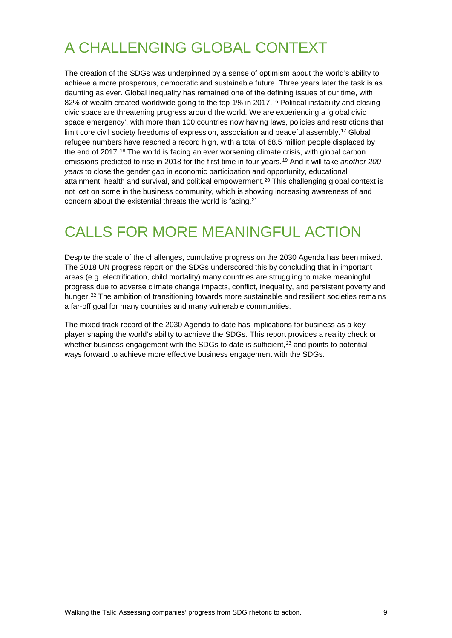## <span id="page-8-0"></span>A CHALLENGING GLOBAL CONTEXT

The creation of the SDGs was underpinned by a sense of optimism about the world's ability to achieve a more prosperous, democratic and sustainable future. Three years later the task is as daunting as ever. Global inequality has remained one of the defining issues of our time, with 82% of wealth created worldwide going to the top 1% in 2017.<sup>[16](#page-29-16)</sup> Political instability and closing civic space are threatening progress around the world. We are experiencing a 'global civic space emergency', with more than 100 countries now having laws, policies and restrictions that limit core civil society freedoms of expression, association and peaceful assembly.[17](#page-30-0) Global refugee numbers have reached a record high, with a total of 68.5 million people displaced by the end of 2017.[18](#page-30-1) The world is facing an ever worsening climate crisis, with global carbon emissions predicted to rise in 2018 for the first time in four years.[19](#page-30-2) And it will take *another 200 years* to close the gender gap in economic participation and opportunity, educational attainment, health and survival, and political empowerment.<sup>[20](#page-30-3)</sup> This challenging global context is not lost on some in the business community, which is showing increasing awareness of and concern about the existential threats the world is facing.[21](#page-30-4)

## <span id="page-8-1"></span>CALLS FOR MORE MEANINGFUL ACTION

Despite the scale of the challenges, cumulative progress on the 2030 Agenda has been mixed. The 2018 UN progress report on the SDGs underscored this by concluding that in important areas (e.g. electrification, child mortality) many countries are struggling to make meaningful progress due to adverse climate change impacts, conflict, inequality, and persistent poverty and hunger.<sup>[22](#page-30-5)</sup> The ambition of transitioning towards more sustainable and resilient societies remains a far-off goal for many countries and many vulnerable communities.

The mixed track record of the 2030 Agenda to date has implications for business as a key player shaping the world's ability to achieve the SDGs. This report provides a reality check on whether business engagement with the SDGs to date is sufficient, $2<sup>3</sup>$  and points to potential ways forward to achieve more effective business engagement with the SDGs.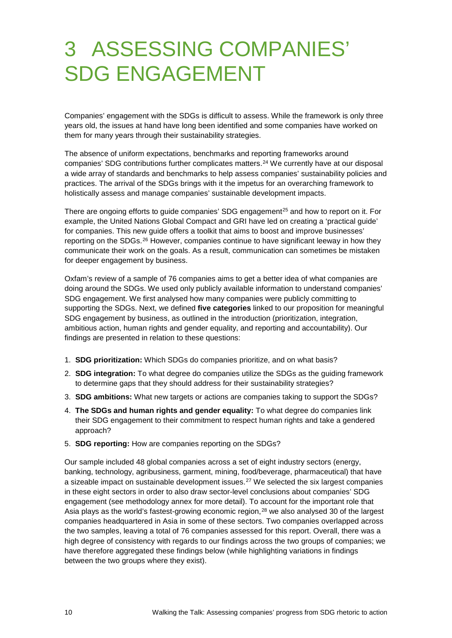# <span id="page-9-0"></span>3 ASSESSING COMPANIES' SDG ENGAGEMENT

Companies' engagement with the SDGs is difficult to assess. While the framework is only three years old, the issues at hand have long been identified and some companies have worked on them for many years through their sustainability strategies.

The absence of uniform expectations, benchmarks and reporting frameworks around companies' SDG contributions further complicates matters.<sup>[24](#page-30-7)</sup> We currently have at our disposal a wide array of standards and benchmarks to help assess companies' sustainability policies and practices. The arrival of the SDGs brings with it the impetus for an overarching framework to holistically assess and manage companies' sustainable development impacts.

There are ongoing efforts to guide companies' SDG engagement<sup>[25](#page-30-8)</sup> and how to report on it. For example, the United Nations Global Compact and GRI have led on creating a 'practical guide' for companies. This new guide offers a toolkit that aims to boost and improve businesses' reporting on the SDGs.<sup>[26](#page-30-9)</sup> However, companies continue to have significant leeway in how they communicate their work on the goals. As a result, communication can sometimes be mistaken for deeper engagement by business.

Oxfam's review of a sample of 76 companies aims to get a better idea of what companies are doing around the SDGs. We used only publicly available information to understand companies' SDG engagement. We first analysed how many companies were publicly committing to supporting the SDGs. Next, we defined **five categories** linked to our proposition for meaningful SDG engagement by business, as outlined in the introduction (prioritization, integration, ambitious action, human rights and gender equality, and reporting and accountability). Our findings are presented in relation to these questions:

- 1. **SDG prioritization:** Which SDGs do companies prioritize, and on what basis?
- 2. **SDG integration:** To what degree do companies utilize the SDGs as the guiding framework to determine gaps that they should address for their sustainability strategies?
- 3. **SDG ambitions:** What new targets or actions are companies taking to support the SDGs?
- 4. **The SDGs and human rights and gender equality:** To what degree do companies link their SDG engagement to their commitment to respect human rights and take a gendered approach?
- 5. **SDG reporting:** How are companies reporting on the SDGs?

Our sample included 48 global companies across a set of eight industry sectors (energy, banking, technology, agribusiness, garment, mining, food/beverage, pharmaceutical) that have a sizeable impact on sustainable development issues.<sup>[27](#page-30-10)</sup> We selected the six largest companies in these eight sectors in order to also draw sector-level conclusions about companies' SDG engagement (see methodology annex for more detail). To account for the important role that Asia plays as the world's fastest-growing economic region,<sup>[28](#page-30-11)</sup> we also analysed 30 of the largest companies headquartered in Asia in some of these sectors. Two companies overlapped across the two samples, leaving a total of 76 companies assessed for this report. Overall, there was a high degree of consistency with regards to our findings across the two groups of companies; we have therefore aggregated these findings below (while highlighting variations in findings between the two groups where they exist).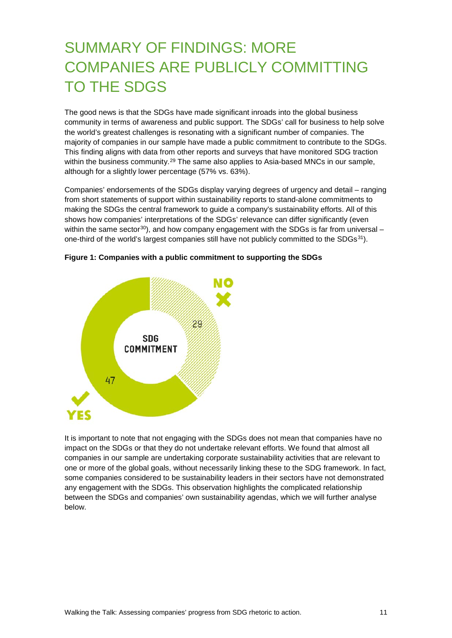## <span id="page-10-0"></span>SUMMARY OF FINDINGS: MORE COMPANIES ARE PUBLICLY COMMITTING TO THE SDGS

The good news is that the SDGs have made significant inroads into the global business community in terms of awareness and public support. The SDGs' call for business to help solve the world's greatest challenges is resonating with a significant number of companies. The majority of companies in our sample have made a public commitment to contribute to the SDGs. This finding aligns with data from other reports and surveys that have monitored SDG traction within the business community.<sup>[29](#page-30-12)</sup> The same also applies to Asia-based MNCs in our sample, although for a slightly lower percentage (57% vs. 63%).

Companies' endorsements of the SDGs display varying degrees of urgency and detail – ranging from short statements of support within sustainability reports to stand-alone commitments to making the SDGs the central framework to guide a company's sustainability efforts. All of this shows how companies' interpretations of the SDGs' relevance can differ significantly (even within the same sector<sup>[30](#page-30-13)</sup>), and how company engagement with the SDGs is far from universal – one-third of the world's largest companies still have not publicly committed to the SDGs<sup>31</sup>).



**Figure 1: Companies with a public commitment to supporting the SDGs** 

It is important to note that not engaging with the SDGs does not mean that companies have no impact on the SDGs or that they do not undertake relevant efforts. We found that almost all companies in our sample are undertaking corporate sustainability activities that are relevant to one or more of the global goals, without necessarily linking these to the SDG framework. In fact, some companies considered to be sustainability leaders in their sectors have not demonstrated any engagement with the SDGs. This observation highlights the complicated relationship between the SDGs and companies' own sustainability agendas, which we will further analyse below.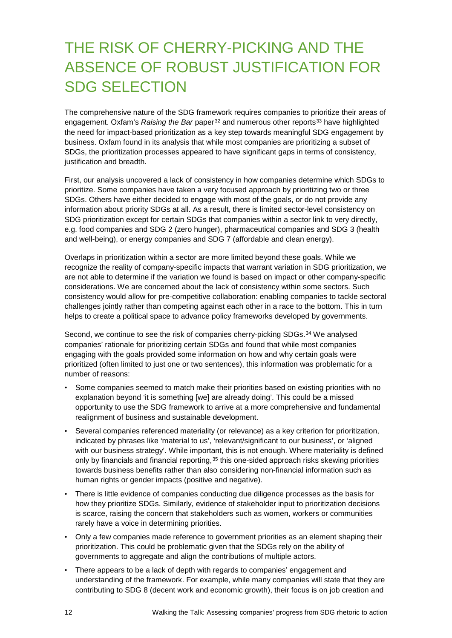## <span id="page-11-0"></span>THE RISK OF CHERRY-PICKING AND THE ABSENCE OF ROBUST JUSTIFICATION FOR SDG SELECTION

The comprehensive nature of the SDG framework requires companies to prioritize their areas of engagement. Oxfam's *Raising the Bar* paper<sup>[32](#page-30-15)</sup> and numerous other reports<sup>[33](#page-30-16)</sup> have highlighted the need for impact-based prioritization as a key step towards meaningful SDG engagement by business. Oxfam found in its analysis that while most companies are prioritizing a subset of SDGs, the prioritization processes appeared to have significant gaps in terms of consistency, justification and breadth.

First, our analysis uncovered a lack of consistency in how companies determine which SDGs to prioritize. Some companies have taken a very focused approach by prioritizing two or three SDGs. Others have either decided to engage with most of the goals, or do not provide any information about priority SDGs at all. As a result, there is limited sector-level consistency on SDG prioritization except for certain SDGs that companies within a sector link to very directly, e.g. food companies and SDG 2 (zero hunger), pharmaceutical companies and SDG 3 (health and well-being), or energy companies and SDG 7 (affordable and clean energy).

Overlaps in prioritization within a sector are more limited beyond these goals. While we recognize the reality of company-specific impacts that warrant variation in SDG prioritization, we are not able to determine if the variation we found is based on impact or other company-specific considerations. We are concerned about the lack of consistency within some sectors. Such consistency would allow for pre-competitive collaboration: enabling companies to tackle sectoral challenges jointly rather than competing against each other in a race to the bottom. This in turn helps to create a political space to advance policy frameworks developed by governments.

Second, we continue to see the risk of companies cherry-picking SDGs.<sup>[34](#page-30-17)</sup> We analysed companies' rationale for prioritizing certain SDGs and found that while most companies engaging with the goals provided some information on how and why certain goals were prioritized (often limited to just one or two sentences), this information was problematic for a number of reasons:

- Some companies seemed to match make their priorities based on existing priorities with no explanation beyond 'it is something [we] are already doing'. This could be a missed opportunity to use the SDG framework to arrive at a more comprehensive and fundamental realignment of business and sustainable development.
- Several companies referenced materiality (or relevance) as a key criterion for prioritization, indicated by phrases like 'material to us', 'relevant/significant to our business', or 'aligned with our business strategy'. While important, this is not enough. Where materiality is defined only by financials and financial reporting,<sup>[35](#page-30-18)</sup> this one-sided approach risks skewing priorities towards business benefits rather than also considering non-financial information such as human rights or gender impacts (positive and negative).
- There is little evidence of companies conducting due diligence processes as the basis for how they prioritize SDGs. Similarly, evidence of stakeholder input to prioritization decisions is scarce, raising the concern that stakeholders such as women, workers or communities rarely have a voice in determining priorities.
- Only a few companies made reference to government priorities as an element shaping their prioritization. This could be problematic given that the SDGs rely on the ability of governments to aggregate and align the contributions of multiple actors.
- There appears to be a lack of depth with regards to companies' engagement and understanding of the framework. For example, while many companies will state that they are contributing to SDG 8 (decent work and economic growth), their focus is on job creation and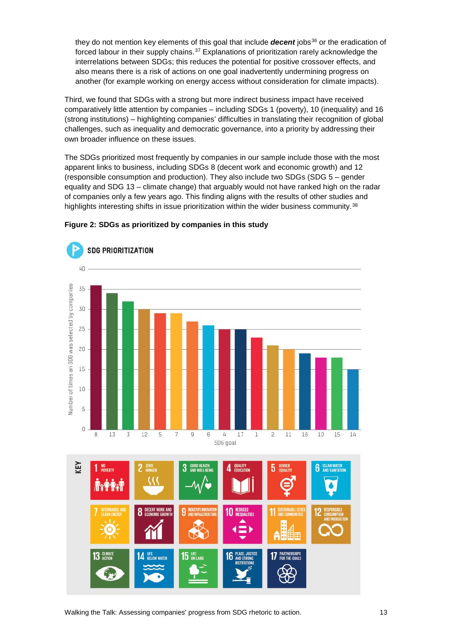they do not mention key elements of this goal that include *decent* jobs<sup>[36](#page-30-19)</sup> or the eradication of forced labour in their supply chains.<sup>[37](#page-31-0)</sup> Explanations of prioritization rarely acknowledge the interrelations between SDGs; this reduces the potential for positive crossover effects, and also means there is a risk of actions on one goal inadvertently undermining progress on another (for example working on energy access without consideration for climate impacts).

Third, we found that SDGs with a strong but more indirect business impact have received comparatively little attention by companies – including SDGs 1 (poverty), 10 (inequality) and 16 (strong institutions) – highlighting companies' difficulties in translating their recognition of global challenges, such as inequality and democratic governance, into a priority by addressing their own broader influence on these issues.

The SDGs prioritized most frequently by companies in our sample include those with the most apparent links to business, including SDGs 8 (decent work and economic growth) and 12 (responsible consumption and production). They also include two SDGs (SDG 5 – gender equality and SDG 13 – climate change) that arguably would not have ranked high on the radar of companies only a few years ago. This finding aligns with the results of other studies and highlights interesting shifts in issue prioritization within the wider business community.<sup>[38](#page-31-1)</sup>



#### **Figure 2: SDGs as prioritized by companies in this study**

Walking the Talk: Assessing companies' progress from SDG rhetoric to action. 13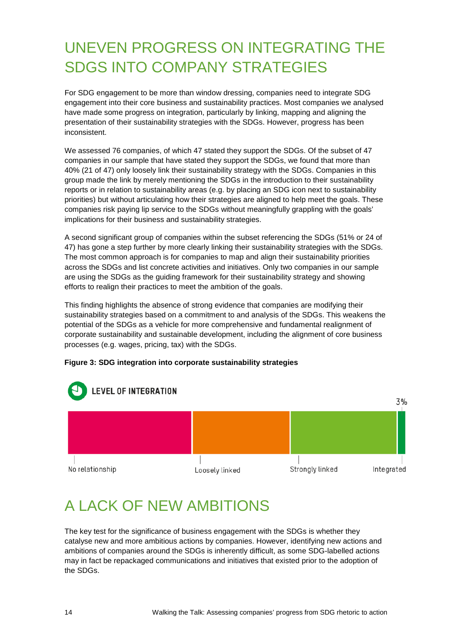## <span id="page-13-0"></span>UNEVEN PROGRESS ON INTEGRATING THE SDGS INTO COMPANY STRATEGIES

For SDG engagement to be more than window dressing, companies need to integrate SDG engagement into their core business and sustainability practices. Most companies we analysed have made some progress on integration, particularly by linking, mapping and aligning the presentation of their sustainability strategies with the SDGs. However, progress has been inconsistent.

We assessed 76 companies, of which 47 stated they support the SDGs. Of the subset of 47 companies in our sample that have stated they support the SDGs, we found that more than 40% (21 of 47) only loosely link their sustainability strategy with the SDGs. Companies in this group made the link by merely mentioning the SDGs in the introduction to their sustainability reports or in relation to sustainability areas (e.g. by placing an SDG icon next to sustainability priorities) but without articulating how their strategies are aligned to help meet the goals. These companies risk paying lip service to the SDGs without meaningfully grappling with the goals' implications for their business and sustainability strategies.

A second significant group of companies within the subset referencing the SDGs (51% or 24 of 47) has gone a step further by more clearly linking their sustainability strategies with the SDGs. The most common approach is for companies to map and align their sustainability priorities across the SDGs and list concrete activities and initiatives. Only two companies in our sample are using the SDGs as the guiding framework for their sustainability strategy and showing efforts to realign their practices to meet the ambition of the goals.

This finding highlights the absence of strong evidence that companies are modifying their sustainability strategies based on a commitment to and analysis of the SDGs. This weakens the potential of the SDGs as a vehicle for more comprehensive and fundamental realignment of corporate sustainability and sustainable development, including the alignment of core business processes (e.g. wages, pricing, tax) with the SDGs.

#### **Figure 3: SDG integration into corporate sustainability strategies**



## <span id="page-13-1"></span>A LACK OF NEW AMBITIONS

The key test for the significance of business engagement with the SDGs is whether they catalyse new and more ambitious actions by companies. However, identifying new actions and ambitions of companies around the SDGs is inherently difficult, as some SDG-labelled actions may in fact be repackaged communications and initiatives that existed prior to the adoption of the SDGs.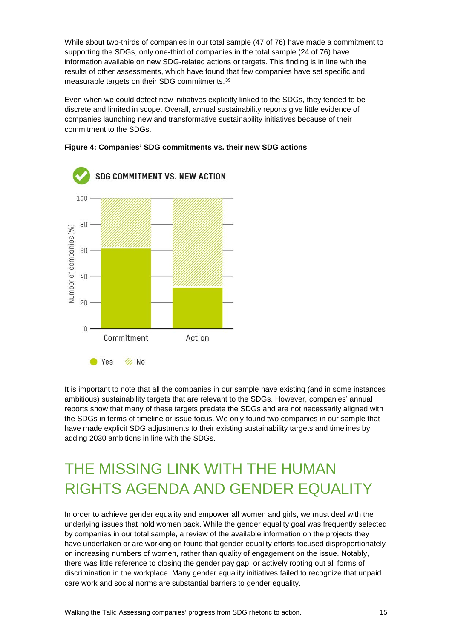While about two-thirds of companies in our total sample (47 of 76) have made a commitment to supporting the SDGs, only one-third of companies in the total sample (24 of 76) have information available on new SDG-related actions or targets. This finding is in line with the results of other assessments, which have found that few companies have set specific and measurable targets on their SDG commitments.[39](#page-31-2)

Even when we could detect new initiatives explicitly linked to the SDGs, they tended to be discrete and limited in scope. Overall, annual sustainability reports give little evidence of companies launching new and transformative sustainability initiatives because of their commitment to the SDGs.





It is important to note that all the companies in our sample have existing (and in some instances ambitious) sustainability targets that are relevant to the SDGs. However, companies' annual reports show that many of these targets predate the SDGs and are not necessarily aligned with the SDGs in terms of timeline or issue focus. We only found two companies in our sample that have made explicit SDG adjustments to their existing sustainability targets and timelines by adding 2030 ambitions in line with the SDGs.

## <span id="page-14-0"></span>THE MISSING LINK WITH THE HUMAN RIGHTS AGENDA AND GENDER EQUALITY

In order to achieve gender equality and empower all women and girls, we must deal with the underlying issues that hold women back. While the gender equality goal was frequently selected by companies in our total sample, a review of the available information on the projects they have undertaken or are working on found that gender equality efforts focused disproportionately on increasing numbers of women, rather than quality of engagement on the issue. Notably, there was little reference to closing the gender pay gap, or actively rooting out all forms of discrimination in the workplace. Many gender equality initiatives failed to recognize that unpaid care work and social norms are substantial barriers to gender equality.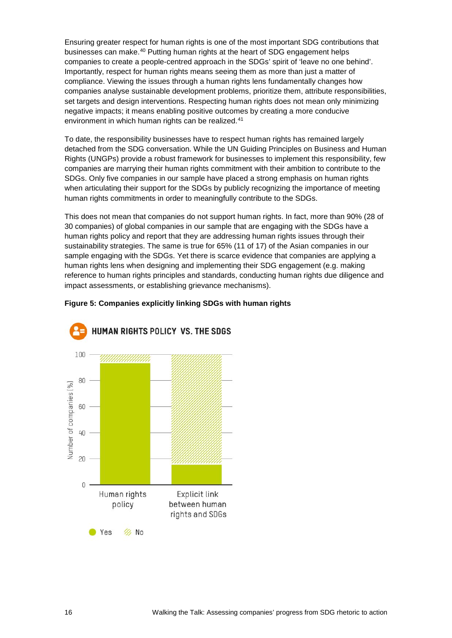Ensuring greater respect for human rights is one of the most important SDG contributions that businesses can make.[40](#page-31-3) Putting human rights at the heart of SDG engagement helps companies to create a people-centred approach in the SDGs' spirit of 'leave no one behind'. Importantly, respect for human rights means seeing them as more than just a matter of compliance. Viewing the issues through a human rights lens fundamentally changes how companies analyse sustainable development problems, prioritize them, attribute responsibilities, set targets and design interventions. Respecting human rights does not mean only minimizing negative impacts; it means enabling positive outcomes by creating a more conducive environment in which human rights can be realized.<sup>[41](#page-31-4)</sup>

To date, the responsibility businesses have to respect human rights has remained largely detached from the SDG conversation. While the UN Guiding Principles on Business and Human Rights (UNGPs) provide a robust framework for businesses to implement this responsibility, few companies are marrying their human rights commitment with their ambition to contribute to the SDGs. Only five companies in our sample have placed a strong emphasis on human rights when articulating their support for the SDGs by publicly recognizing the importance of meeting human rights commitments in order to meaningfully contribute to the SDGs.

This does not mean that companies do not support human rights. In fact, more than 90% (28 of 30 companies) of global companies in our sample that are engaging with the SDGs have a human rights policy and report that they are addressing human rights issues through their sustainability strategies. The same is true for 65% (11 of 17) of the Asian companies in our sample engaging with the SDGs. Yet there is scarce evidence that companies are applying a human rights lens when designing and implementing their SDG engagement (e.g. making reference to human rights principles and standards, conducting human rights due diligence and impact assessments, or establishing grievance mechanisms).

#### **Figure 5: Companies explicitly linking SDGs with human rights**

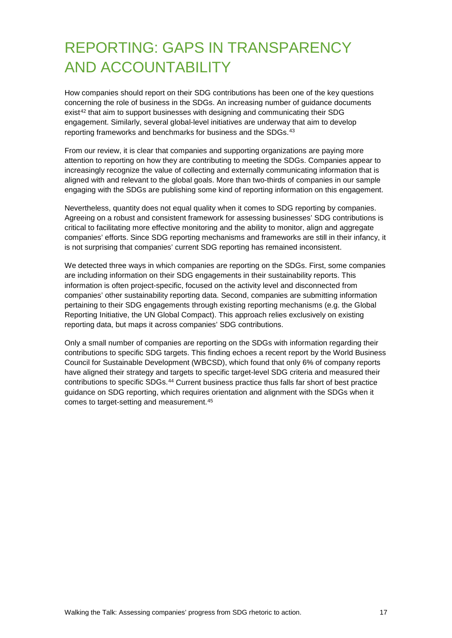## <span id="page-16-0"></span>REPORTING: GAPS IN TRANSPARENCY AND ACCOUNTABILITY

How companies should report on their SDG contributions has been one of the key questions concerning the role of business in the SDGs. An increasing number of guidance documents exist<sup>[42](#page-31-5)</sup> that aim to support businesses with designing and communicating their SDG engagement. Similarly, several global-level initiatives are underway that aim to develop reporting frameworks and benchmarks for business and the SDGs.<sup>[43](#page-31-6)</sup>

From our review, it is clear that companies and supporting organizations are paying more attention to reporting on how they are contributing to meeting the SDGs. Companies appear to increasingly recognize the value of collecting and externally communicating information that is aligned with and relevant to the global goals. More than two-thirds of companies in our sample engaging with the SDGs are publishing some kind of reporting information on this engagement.

Nevertheless, quantity does not equal quality when it comes to SDG reporting by companies. Agreeing on a robust and consistent framework for assessing businesses' SDG contributions is critical to facilitating more effective monitoring and the ability to monitor, align and aggregate companies' efforts. Since SDG reporting mechanisms and frameworks are still in their infancy, it is not surprising that companies' current SDG reporting has remained inconsistent.

We detected three ways in which companies are reporting on the SDGs. First, some companies are including information on their SDG engagements in their sustainability reports. This information is often project-specific, focused on the activity level and disconnected from companies' other sustainability reporting data. Second, companies are submitting information pertaining to their SDG engagements through existing reporting mechanisms (e.g. the Global Reporting Initiative, the UN Global Compact). This approach relies exclusively on existing reporting data, but maps it across companies' SDG contributions.

Only a small number of companies are reporting on the SDGs with information regarding their contributions to specific SDG targets. This finding echoes a recent report by the World Business Council for Sustainable Development (WBCSD), which found that only 6% of company reports have aligned their strategy and targets to specific target-level SDG criteria and measured their contributions to specific SDGs.[44](#page-31-7) Current business practice thus falls far short of best practice guidance on SDG reporting, which requires orientation and alignment with the SDGs when it comes to target-setting and measurement.[45](#page-31-8)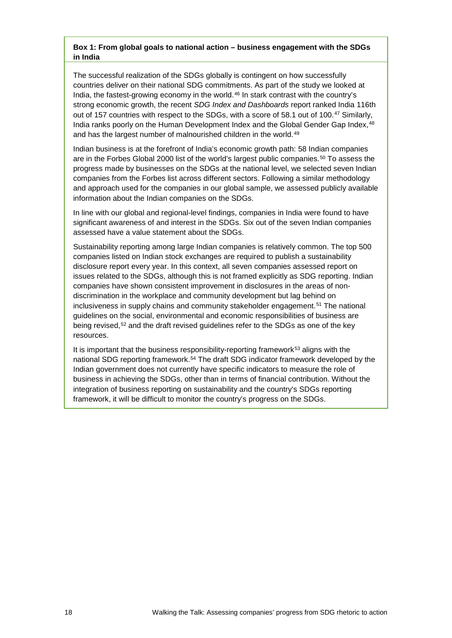#### **Box 1: From global goals to national action – business engagement with the SDGs in India**

The successful realization of the SDGs globally is contingent on how successfully countries deliver on their national SDG commitments. As part of the study we looked at India, the fastest-growing economy in the world.[46](#page-31-9) In stark contrast with the country's strong economic growth, the recent *SDG Index and Dashboards* report ranked India 116th out of 157 countries with respect to the SDGs, with a score of 58.1 out of 100.<sup>[47](#page-31-10)</sup> Similarly, India ranks poorly on the Human Development Index and the Global Gender Gap Index, [48](#page-31-11) and has the largest number of malnourished children in the world.<sup>[49](#page-31-12)</sup>

Indian business is at the forefront of India's economic growth path: 58 Indian companies are in the Forbes Global 2000 list of the world's largest public companies.<sup>[50](#page-31-13)</sup> To assess the progress made by businesses on the SDGs at the national level, we selected seven Indian companies from the Forbes list across different sectors. Following a similar methodology and approach used for the companies in our global sample, we assessed publicly available information about the Indian companies on the SDGs.

In line with our global and regional-level findings, companies in India were found to have significant awareness of and interest in the SDGs. Six out of the seven Indian companies assessed have a value statement about the SDGs.

Sustainability reporting among large Indian companies is relatively common. The top 500 companies listed on Indian stock exchanges are required to publish a sustainability disclosure report every year. In this context, all seven companies assessed report on issues related to the SDGs, although this is not framed explicitly as SDG reporting. Indian companies have shown consistent improvement in disclosures in the areas of nondiscrimination in the workplace and community development but lag behind on inclusiveness in supply chains and community stakeholder engagement.<sup>[51](#page-31-14)</sup> The national guidelines on the social, environmental and economic responsibilities of business are being revised,<sup>[52](#page-31-15)</sup> and the draft revised guidelines refer to the SDGs as one of the key resources.

It is important that the business responsibility-reporting framework<sup>[53](#page-31-16)</sup> aligns with the national SDG reporting framework.[54](#page-31-17) The draft SDG indicator framework developed by the Indian government does not currently have specific indicators to measure the role of business in achieving the SDGs, other than in terms of financial contribution. Without the integration of business reporting on sustainability and the country's SDGs reporting framework, it will be difficult to monitor the country's progress on the SDGs.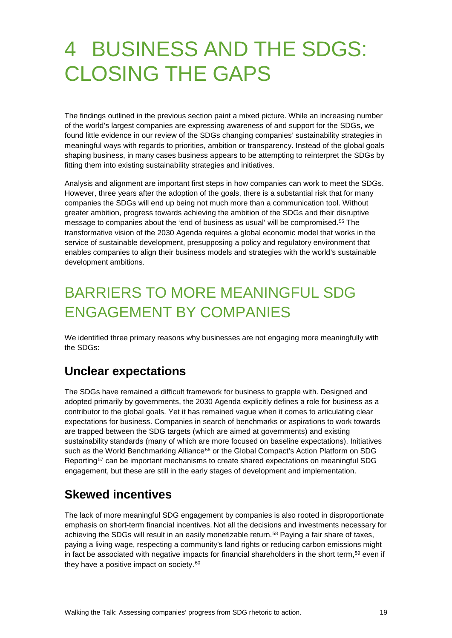# <span id="page-18-0"></span>4 BUSINESS AND THE SDGS: CLOSING THE GAPS

The findings outlined in the previous section paint a mixed picture. While an increasing number of the world's largest companies are expressing awareness of and support for the SDGs, we found little evidence in our review of the SDGs changing companies' sustainability strategies in meaningful ways with regards to priorities, ambition or transparency. Instead of the global goals shaping business, in many cases business appears to be attempting to reinterpret the SDGs by fitting them into existing sustainability strategies and initiatives.

Analysis and alignment are important first steps in how companies can work to meet the SDGs. However, three years after the adoption of the goals, there is a substantial risk that for many companies the SDGs will end up being not much more than a communication tool. Without greater ambition, progress towards achieving the ambition of the SDGs and their disruptive message to companies about the 'end of business as usual' will be compromised.[55](#page-31-18) The transformative vision of the 2030 Agenda requires a global economic model that works in the service of sustainable development, presupposing a policy and regulatory environment that enables companies to align their business models and strategies with the world's sustainable development ambitions.

## <span id="page-18-1"></span>BARRIERS TO MORE MEANINGFUL SDG ENGAGEMENT BY COMPANIES

We identified three primary reasons why businesses are not engaging more meaningfully with the SDGs:

### **Unclear expectations**

The SDGs have remained a difficult framework for business to grapple with. Designed and adopted primarily by governments, the 2030 Agenda explicitly defines a role for business as a contributor to the global goals. Yet it has remained vague when it comes to articulating clear expectations for business. Companies in search of benchmarks or aspirations to work towards are trapped between the SDG targets (which are aimed at governments) and existing sustainability standards (many of which are more focused on baseline expectations). Initiatives such as the World Benchmarking Alliance<sup>[56](#page-31-19)</sup> or the Global Compact's Action Platform on SDG Reporting<sup>[57](#page-32-0)</sup> can be important mechanisms to create shared expectations on meaningful SDG engagement, but these are still in the early stages of development and implementation.

### **Skewed incentives**

The lack of more meaningful SDG engagement by companies is also rooted in disproportionate emphasis on short-term financial incentives. Not all the decisions and investments necessary for achieving the SDGs will result in an easily monetizable return.<sup>[58](#page-32-1)</sup> Paying a fair share of taxes, paying a living wage, respecting a community's land rights or reducing carbon emissions might in fact be associated with negative impacts for financial shareholders in the short term, $59$  even if they have a positive impact on society.<sup>[60](#page-32-3)</sup>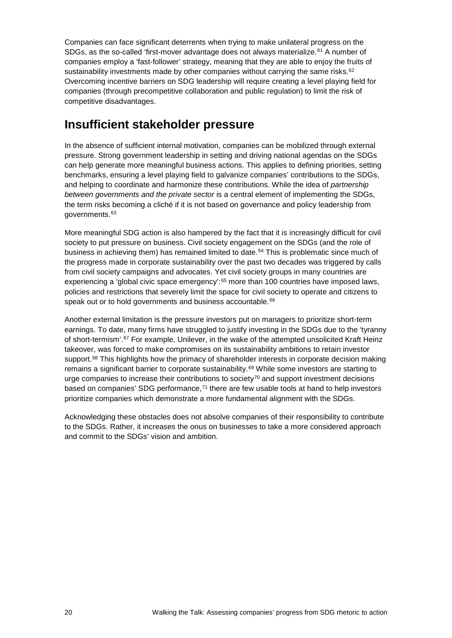Companies can face significant deterrents when trying to make unilateral progress on the SDGs, as the so-called 'first-mover advantage does not always materialize.<sup>[61](#page-32-4)</sup> A number of companies employ a 'fast-follower' strategy, meaning that they are able to enjoy the fruits of sustainability investments made by other companies without carrying the same risks.<sup>[62](#page-32-5)</sup> Overcoming incentive barriers on SDG leadership will require creating a level playing field for companies (through precompetitive collaboration and public regulation) to limit the risk of competitive disadvantages.

#### **Insufficient stakeholder pressure**

In the absence of sufficient internal motivation, companies can be mobilized through external pressure. Strong government leadership in setting and driving national agendas on the SDGs can help generate more meaningful business actions. This applies to defining priorities, setting benchmarks, ensuring a level playing field to galvanize companies' contributions to the SDGs, and helping to coordinate and harmonize these contributions. While the idea of *partnership between governments and the private sector* is a central element of implementing the SDGs, the term risks becoming a cliché if it is not based on governance and policy leadership from governments.[63](#page-32-6)

More meaningful SDG action is also hampered by the fact that it is increasingly difficult for civil society to put pressure on business. Civil society engagement on the SDGs (and the role of business in achieving them) has remained limited to date.<sup>[64](#page-32-7)</sup> This is problematic since much of the progress made in corporate sustainability over the past two decades was triggered by calls from civil society campaigns and advocates. Yet civil society groups in many countries are experiencing a 'global civic space emergency': $65$  more than 100 countries have imposed laws, policies and restrictions that severely limit the space for civil society to operate and citizens to speak out or to hold governments and business accountable.<sup>[66](#page-32-9)</sup>

Another external limitation is the pressure investors put on managers to prioritize short-term earnings. To date, many firms have struggled to justify investing in the SDGs due to the 'tyranny of short-termism'.[67](#page-32-10) For example, Unilever, in the wake of the attempted unsolicited Kraft Heinz takeover, was forced to make compromises on its sustainability ambitions to retain investor support.<sup>[68](#page-32-11)</sup> This highlights how the primacy of shareholder interests in corporate decision making remains a significant barrier to corporate sustainability.<sup>[69](#page-32-12)</sup> While some investors are starting to urge companies to increase their contributions to society<sup>[70](#page-32-13)</sup> and support investment decisions based on companies' SDG performance, $71$  there are few usable tools at hand to help investors prioritize companies which demonstrate a more fundamental alignment with the SDGs.

Acknowledging these obstacles does not absolve companies of their responsibility to contribute to the SDGs. Rather, it increases the onus on businesses to take a more considered approach and commit to the SDGs' vision and ambition.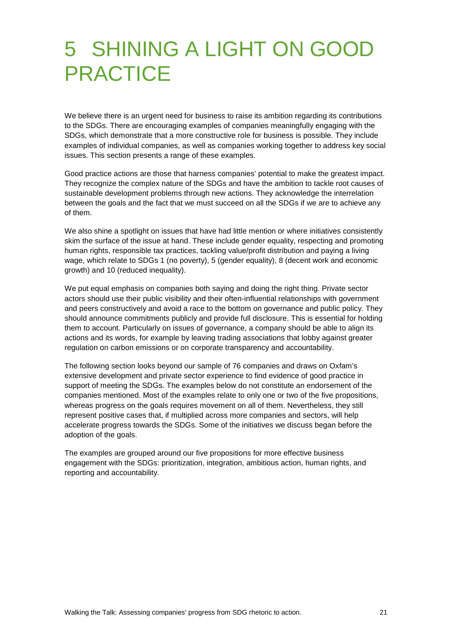# <span id="page-20-0"></span>5 SHINING A LIGHT ON GOOD **PRACTICE**

We believe there is an urgent need for business to raise its ambition regarding its contributions to the SDGs. There are encouraging examples of companies meaningfully engaging with the SDGs, which demonstrate that a more constructive role for business is possible. They include examples of individual companies, as well as companies working together to address key social issues. This section presents a range of these examples.

Good practice actions are those that harness companies' potential to make the greatest impact. They recognize the complex nature of the SDGs and have the ambition to tackle root causes of sustainable development problems through new actions. They acknowledge the interrelation between the goals and the fact that we must succeed on all the SDGs if we are to achieve any of them.

We also shine a spotlight on issues that have had little mention or where initiatives consistently skim the surface of the issue at hand. These include gender equality, respecting and promoting human rights, responsible tax practices, tackling value/profit distribution and paying a living wage, which relate to SDGs 1 (no poverty), 5 (gender equality), 8 (decent work and economic growth) and 10 (reduced inequality).

We put equal emphasis on companies both saying and doing the right thing. Private sector actors should use their public visibility and their often-influential relationships with government and peers constructively and avoid a race to the bottom on governance and public policy. They should announce commitments publicly and provide full disclosure. This is essential for holding them to account. Particularly on issues of governance, a company should be able to align its actions and its words, for example by leaving trading associations that lobby against greater regulation on carbon emissions or on corporate transparency and accountability.

The following section looks beyond our sample of 76 companies and draws on Oxfam's extensive development and private sector experience to find evidence of good practice in support of meeting the SDGs. The examples below do not constitute an endorsement of the companies mentioned. Most of the examples relate to only one or two of the five propositions, whereas progress on the goals requires movement on all of them. Nevertheless, they still represent positive cases that, if multiplied across more companies and sectors, will help accelerate progress towards the SDGs. Some of the initiatives we discuss began before the adoption of the goals.

The examples are grouped around our five propositions for more effective business engagement with the SDGs: prioritization, integration, ambitious action, human rights, and reporting and accountability.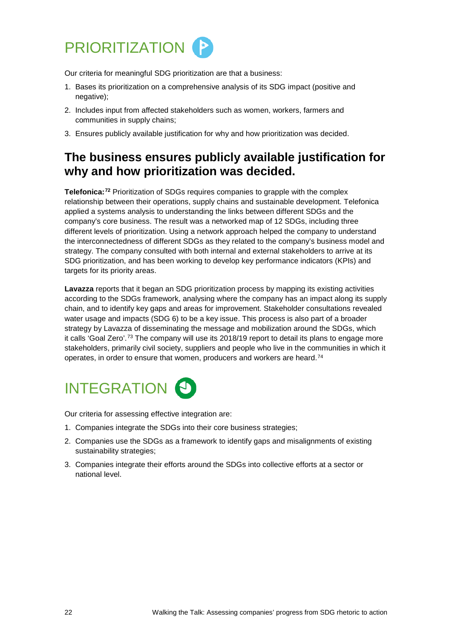<span id="page-21-0"></span>

Our criteria for meaningful SDG prioritization are that a business:

- 1. Bases its prioritization on a comprehensive analysis of its SDG impact (positive and negative);
- 2. Includes input from affected stakeholders such as women, workers, farmers and communities in supply chains;
- 3. Ensures publicly available justification for why and how prioritization was decided.

### **The business ensures publicly available justification for why and how prioritization was decided.**

**Telefonica:[72](#page-32-15)** Prioritization of SDGs requires companies to grapple with the complex relationship between their operations, supply chains and sustainable development. Telefonica applied a systems analysis to understanding the links between different SDGs and the company's core business. The result was a networked map of 12 SDGs, including three different levels of prioritization. Using a network approach helped the company to understand the interconnectedness of different SDGs as they related to the company's business model and strategy. The company consulted with both internal and external stakeholders to arrive at its SDG prioritization, and has been working to develop key performance indicators (KPIs) and targets for its priority areas.

**Lavazza** reports that it began an SDG prioritization process by mapping its existing activities according to the SDGs framework, analysing where the company has an impact along its supply chain, and to identify key gaps and areas for improvement. Stakeholder consultations revealed water usage and impacts (SDG 6) to be a key issue. This process is also part of a broader strategy by Lavazza of disseminating the message and mobilization around the SDGs, which it calls 'Goal Zero'.[73](#page-32-16) The company will use its 2018/19 report to detail its plans to engage more stakeholders, primarily civil society, suppliers and people who live in the communities in which it operates, in order to ensure that women, producers and workers are heard.<sup>[74](#page-32-17)</sup>

# <span id="page-21-1"></span>**INTEGRATION &**

Our criteria for assessing effective integration are:

- 1. Companies integrate the SDGs into their core business strategies;
- 2. Companies use the SDGs as a framework to identify gaps and misalignments of existing sustainability strategies;
- 3. Companies integrate their efforts around the SDGs into collective efforts at a sector or national level.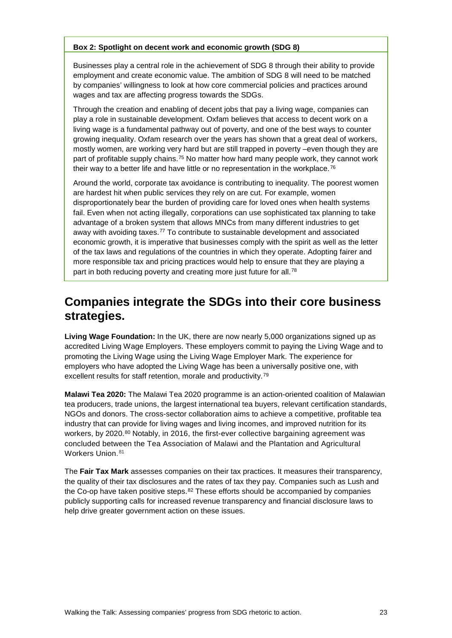#### **Box 2: Spotlight on decent work and economic growth (SDG 8)**

Businesses play a central role in the achievement of SDG 8 through their ability to provide employment and create economic value. The ambition of SDG 8 will need to be matched by companies' willingness to look at how core commercial policies and practices around wages and tax are affecting progress towards the SDGs.

Through the creation and enabling of decent jobs that pay a living wage, companies can play a role in sustainable development. Oxfam believes that access to decent work on a living wage is a fundamental pathway out of poverty, and one of the best ways to counter growing inequality. Oxfam research over the years has shown that a great deal of workers, mostly women, are working very hard but are still trapped in poverty –even though they are part of profitable supply chains.<sup>[75](#page-32-18)</sup> No matter how hard many people work, they cannot work their way to a better life and have little or no representation in the workplace.<sup>[76](#page-33-0)</sup>

Around the world, corporate tax avoidance is contributing to inequality. The poorest women are hardest hit when public services they rely on are cut. For example, women disproportionately bear the burden of providing care for loved ones when health systems fail. Even when not acting illegally, corporations can use sophisticated tax planning to take advantage of a broken system that allows MNCs from many different industries to get away with avoiding taxes.[77](#page-33-1) To contribute to sustainable development and associated economic growth, it is imperative that businesses comply with the spirit as well as the letter of the tax laws and regulations of the countries in which they operate. Adopting fairer and more responsible tax and pricing practices would help to ensure that they are playing a part in both reducing poverty and creating more just future for all.<sup>[78](#page-33-2)</sup>

#### **Companies integrate the SDGs into their core business strategies.**

**Living Wage Foundation:** In the UK, there are now nearly 5,000 organizations signed up as accredited Living Wage Employers. These employers commit to paying the Living Wage and to promoting the Living Wage using the Living Wage Employer Mark. The experience for employers who have adopted the Living Wage has been a universally positive one, with excellent results for staff retention, morale and productivity.[79](#page-33-3)

**Malawi Tea 2020:** The Malawi Tea 2020 programme is an action-oriented coalition of Malawian tea producers, trade unions, the largest international tea buyers, relevant certification standards, NGOs and donors. The cross-sector collaboration aims to achieve a competitive, profitable tea industry that can provide for living wages and living incomes, and improved nutrition for its workers, by 2020.<sup>[80](#page-33-4)</sup> Notably, in 2016, the first-ever collective bargaining agreement was concluded between the Tea Association of Malawi and the Plantation and Agricultural Workers Union. [81](#page-33-5)

The **Fair Tax Mark** assesses companies on their tax practices. It measures their transparency, the quality of their tax disclosures and the rates of tax they pay. Companies such as Lush and the Co-op have taken positive steps. $82$  These efforts should be accompanied by companies publicly supporting calls for increased revenue transparency and financial disclosure laws to help drive greater government action on these issues.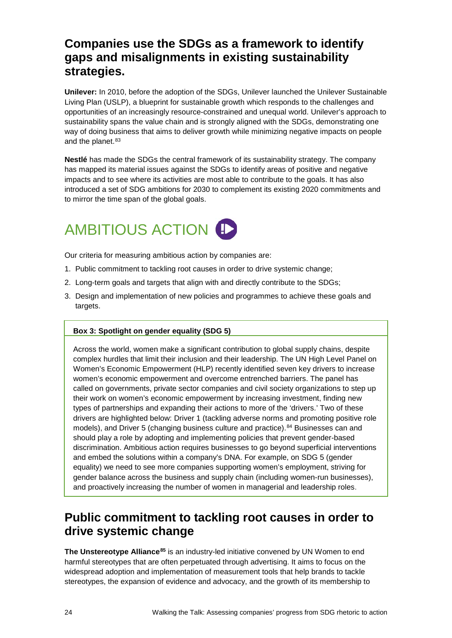### **Companies use the SDGs as a framework to identify gaps and misalignments in existing sustainability strategies.**

**Unilever:** In 2010, before the adoption of the SDGs, Unilever launched the Unilever Sustainable Living Plan (USLP), a blueprint for sustainable growth which responds to the challenges and opportunities of an increasingly resource-constrained and unequal world. Unilever's approach to sustainability spans the value chain and is strongly aligned with the SDGs, demonstrating one way of doing business that aims to deliver growth while minimizing negative impacts on people and the planet.<sup>[83](#page-33-7)</sup>

**Nestlé** has made the SDGs the central framework of its sustainability strategy. The company has mapped its material issues against the SDGs to identify areas of positive and negative impacts and to see where its activities are most able to contribute to the goals. It has also introduced a set of SDG ambitions for 2030 to complement its existing 2020 commitments and to mirror the time span of the global goals.

## <span id="page-23-0"></span>AMBITIOUS ACTION **!**

Our criteria for measuring ambitious action by companies are:

- 1. Public commitment to tackling root causes in order to drive systemic change;
- 2. Long-term goals and targets that align with and directly contribute to the SDGs;
- 3. Design and implementation of new policies and programmes to achieve these goals and targets.

#### **Box 3: Spotlight on gender equality (SDG 5)**

Across the world, women make a significant contribution to global supply chains, despite complex hurdles that limit their inclusion and their leadership. The UN High Level Panel on Women's Economic Empowerment (HLP) recently identified seven key drivers to increase women's economic empowerment and overcome entrenched barriers. The panel has called on governments, private sector companies and civil society organizations to step up their work on women's economic empowerment by increasing investment, finding new types of partnerships and expanding their actions to more of the 'drivers.' Two of these drivers are highlighted below: Driver 1 (tackling adverse norms and promoting positive role models), and Driver 5 (changing business culture and practice).[84](#page-33-8) Businesses can and should play a role by adopting and implementing policies that prevent gender-based discrimination. Ambitious action requires businesses to go beyond superficial interventions and embed the solutions within a company's DNA. For example, on SDG 5 (gender equality) we need to see more companies supporting women's employment, striving for gender balance across the business and supply chain (including women-run businesses), and proactively increasing the number of women in managerial and leadership roles.

### **Public commitment to tackling root causes in order to drive systemic change**

**The Unstereotype Alliance[85](#page-33-9)** is an industry-led initiative convened by UN Women to end harmful stereotypes that are often perpetuated through advertising. It aims to focus on the widespread adoption and implementation of measurement tools that help brands to tackle stereotypes, the expansion of evidence and advocacy, and the growth of its membership to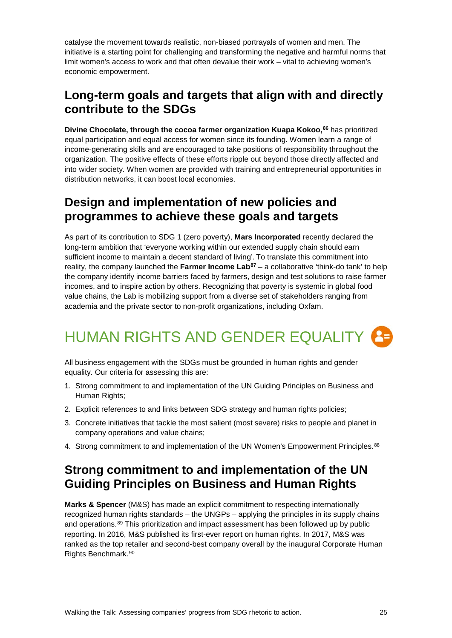catalyse the movement towards realistic, non-biased portrayals of women and men. The initiative is a starting point for challenging and transforming the negative and harmful norms that limit women's access to work and that often devalue their work – vital to achieving women's economic empowerment.

### **Long-term goals and targets that align with and directly contribute to the SDGs**

**Divine Chocolate, through the cocoa farmer organization Kuapa Kokoo, [86](#page-33-10)** has prioritized equal participation and equal access for women since its founding. Women learn a range of income-generating skills and are encouraged to take positions of responsibility throughout the organization. The positive effects of these efforts ripple out beyond those directly affected and into wider society. When women are provided with training and entrepreneurial opportunities in distribution networks, it can boost local economies.

#### **Design and implementation of new policies and programmes to achieve these goals and targets**

As part of its contribution to SDG 1 (zero poverty), **Mars Incorporated** recently declared the long-term ambition that 'everyone working within our extended supply chain should earn sufficient income to maintain a decent standard of living'. To translate this commitment into reality, the company launched the **Farmer Income Lab[87](#page-33-11)** – a collaborative 'think-do tank' to help the company identify income barriers faced by farmers, design and test solutions to raise farmer incomes, and to inspire action by others. Recognizing that poverty is systemic in global food value chains, the Lab is mobilizing support from a diverse set of stakeholders ranging from academia and the private sector to non-profit organizations, including Oxfam.

## <span id="page-24-0"></span>HUMAN RIGHTS AND GENDER EQUALITY

All business engagement with the SDGs must be grounded in human rights and gender equality. Our criteria for assessing this are:

- 1. Strong commitment to and implementation of the UN Guiding Principles on Business and Human Rights;
- 2. Explicit references to and links between SDG strategy and human rights policies;
- 3. Concrete initiatives that tackle the most salient (most severe) risks to people and planet in company operations and value chains;
- 4. Strong commitment to and implementation of the UN Women's Empowerment Principles.<sup>[88](#page-33-12)</sup>

### **Strong commitment to and implementation of the UN Guiding Principles on Business and Human Rights**

**Marks & Spencer** (M&S) has made an explicit commitment to respecting internationally recognized human rights standards – the UNGPs – applying the principles in its supply chains and operations.[89](#page-33-13) This prioritization and impact assessment has been followed up by public reporting. In 2016, M&S published its first-ever report on human rights. In 2017, M&S was ranked as the top retailer and second-best company overall by the inaugural Corporate Human Rights Benchmark.[90](#page-33-14)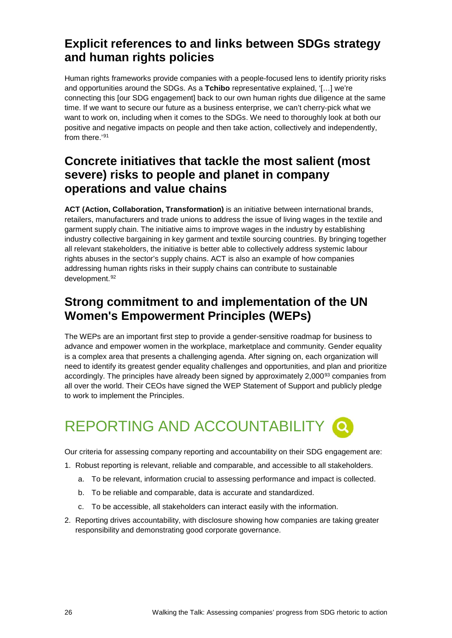### **Explicit references to and links between SDGs strategy and human rights policies**

Human rights frameworks provide companies with a people-focused lens to identify priority risks and opportunities around the SDGs. As a **Tchibo** representative explained, '[…] we're connecting this [our SDG engagement] back to our own human rights due diligence at the same time. If we want to secure our future as a business enterprise, we can't cherry-pick what we want to work on, including when it comes to the SDGs. We need to thoroughly look at both our positive and negative impacts on people and then take action, collectively and independently, from there.'[91](#page-33-15)

### **Concrete initiatives that tackle the most salient (most severe) risks to people and planet in company operations and value chains**

**ACT (Action, Collaboration, Transformation)** is an initiative between international brands, retailers, manufacturers and trade unions to address the issue of living wages in the textile and garment supply chain. The initiative aims to improve wages in the industry by establishing industry collective bargaining in key garment and textile sourcing countries. By bringing together all relevant stakeholders, the initiative is better able to collectively address systemic labour rights abuses in the sector's supply chains. ACT is also an example of how companies addressing human rights risks in their supply chains can contribute to sustainable development.<sup>[92](#page-33-16)</sup>

### **Strong commitment to and implementation of the UN Women's Empowerment Principles (WEPs)**

The WEPs are an important first step to provide a gender-sensitive roadmap for business to advance and empower women in the workplace, marketplace and community. Gender equality is a complex area that presents a challenging agenda. After signing on, each organization will need to identify its greatest gender equality challenges and opportunities, and plan and prioritize accordingly. The principles have already been signed by approximately 2,000<sup>[93](#page-33-17)</sup> companies from all over the world. Their CEOs have signed the WEP Statement of Support and publicly pledge to work to implement the Principles.

## <span id="page-25-0"></span>REPORTING AND ACCOUNTABILITY Q

Our criteria for assessing company reporting and accountability on their SDG engagement are:

- 1. Robust reporting is relevant, reliable and comparable, and accessible to all stakeholders.
	- a. To be relevant, information crucial to assessing performance and impact is collected.
	- b. To be reliable and comparable, data is accurate and standardized.
	- c. To be accessible, all stakeholders can interact easily with the information.
- 2. Reporting drives accountability, with disclosure showing how companies are taking greater responsibility and demonstrating good corporate governance.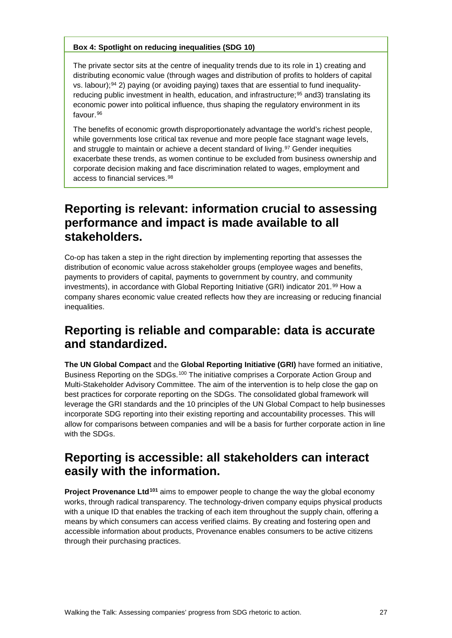#### **Box 4: Spotlight on reducing inequalities (SDG 10)**

The private sector sits at the centre of inequality trends due to its role in 1) creating and distributing economic value (through wages and distribution of profits to holders of capital vs. labour);<sup>[94](#page-33-18)</sup> 2) paying (or avoiding paying) taxes that are essential to fund inequality-reducing public investment in health, education, and infrastructure;<sup>[95](#page-33-19)</sup> and3) translating its economic power into political influence, thus shaping the regulatory environment in its favour.[96](#page-33-20)

The benefits of economic growth disproportionately advantage the world's richest people, while governments lose critical tax revenue and more people face stagnant wage levels, and struggle to maintain or achieve a decent standard of living.<sup>[97](#page-33-21)</sup> Gender inequities exacerbate these trends, as women continue to be excluded from business ownership and corporate decision making and face discrimination related to wages, employment and access to financial services.[98](#page-34-0)

### **Reporting is relevant: information crucial to assessing performance and impact is made available to all stakeholders.**

Co-op has taken a step in the right direction by implementing reporting that assesses the distribution of economic value across stakeholder groups (employee wages and benefits, payments to providers of capital, payments to government by country, and community investments), in accordance with Global Reporting Initiative (GRI) indicator 201.[99](#page-34-1) How a company shares economic value created reflects how they are increasing or reducing financial inequalities.

#### **Reporting is reliable and comparable: data is accurate and standardized.**

**The UN Global Compact** and the **Global Reporting Initiative (GRI)** have formed an initiative, Business Reporting on the SDGs.<sup>[100](#page-34-2)</sup> The initiative comprises a Corporate Action Group and Multi-Stakeholder Advisory Committee. The aim of the intervention is to help close the gap on best practices for corporate reporting on the SDGs. The consolidated global framework will leverage the GRI standards and the 10 principles of the UN Global Compact to help businesses incorporate SDG reporting into their existing reporting and accountability processes. This will allow for comparisons between companies and will be a basis for further corporate action in line with the SDGs.

#### **Reporting is accessible: all stakeholders can interact easily with the information.**

**Project Provenance Ltd[101](#page-34-3)** aims to empower people to change the way the global economy works, through radical transparency. The technology-driven company equips physical products with a unique ID that enables the tracking of each item throughout the supply chain, offering a means by which consumers can access verified claims. By creating and fostering open and accessible information about products, Provenance enables consumers to be active citizens through their purchasing practices.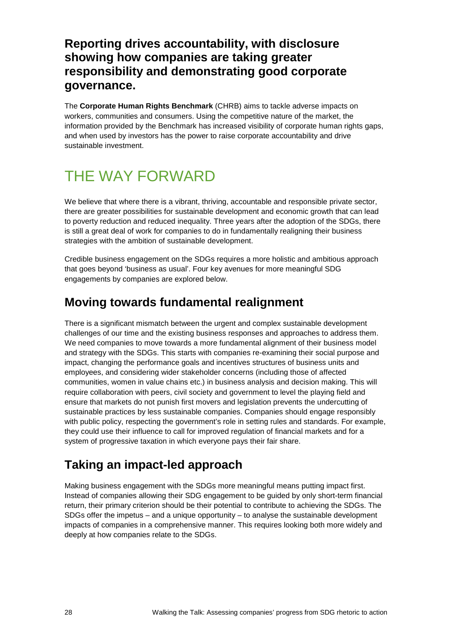#### **Reporting drives accountability, with disclosure showing how companies are taking greater responsibility and demonstrating good corporate governance.**

The **Corporate Human Rights Benchmark** (CHRB) aims to tackle adverse impacts on workers, communities and consumers. Using the competitive nature of the market, the information provided by the Benchmark has increased visibility of corporate human rights gaps, and when used by investors has the power to raise corporate accountability and drive sustainable investment.

## <span id="page-27-0"></span>THE WAY FORWARD

We believe that where there is a vibrant, thriving, accountable and responsible private sector, there are greater possibilities for sustainable development and economic growth that can lead to poverty reduction and reduced inequality. Three years after the adoption of the SDGs, there is still a great deal of work for companies to do in fundamentally realigning their business strategies with the ambition of sustainable development.

Credible business engagement on the SDGs requires a more holistic and ambitious approach that goes beyond 'business as usual'. Four key avenues for more meaningful SDG engagements by companies are explored below.

### **Moving towards fundamental realignment**

There is a significant mismatch between the urgent and complex sustainable development challenges of our time and the existing business responses and approaches to address them. We need companies to move towards a more fundamental alignment of their business model and strategy with the SDGs. This starts with companies re-examining their social purpose and impact, changing the performance goals and incentives structures of business units and employees, and considering wider stakeholder concerns (including those of affected communities, women in value chains etc.) in business analysis and decision making. This will require collaboration with peers, civil society and government to level the playing field and ensure that markets do not punish first movers and legislation prevents the undercutting of sustainable practices by less sustainable companies. Companies should engage responsibly with public policy, respecting the government's role in setting rules and standards. For example, they could use their influence to call for improved regulation of financial markets and for a system of progressive taxation in which everyone pays their fair share.

### **Taking an impact-led approach**

Making business engagement with the SDGs more meaningful means putting impact first. Instead of companies allowing their SDG engagement to be guided by only short-term financial return, their primary criterion should be their potential to contribute to achieving the SDGs. The SDGs offer the impetus – and a unique opportunity – to analyse the sustainable development impacts of companies in a comprehensive manner. This requires looking both more widely and deeply at how companies relate to the SDGs.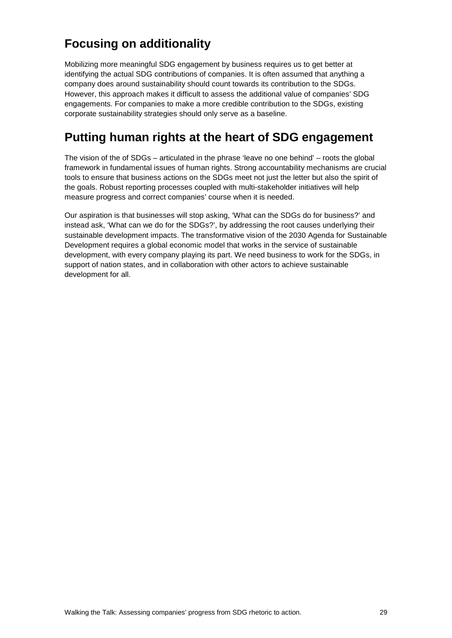## **Focusing on additionality**

Mobilizing more meaningful SDG engagement by business requires us to get better at identifying the actual SDG contributions of companies. It is often assumed that anything a company does around sustainability should count towards its contribution to the SDGs. However, this approach makes it difficult to assess the additional value of companies' SDG engagements. For companies to make a more credible contribution to the SDGs, existing corporate sustainability strategies should only serve as a baseline.

### **Putting human rights at the heart of SDG engagement**

The vision of the of SDGs – articulated in the phrase 'leave no one behind' – roots the global framework in fundamental issues of human rights. Strong accountability mechanisms are crucial tools to ensure that business actions on the SDGs meet not just the letter but also the spirit of the goals. Robust reporting processes coupled with multi-stakeholder initiatives will help measure progress and correct companies' course when it is needed.

Our aspiration is that businesses will stop asking, 'What can the SDGs do for business?' and instead ask, 'What can we do for the SDGs?', by addressing the root causes underlying their sustainable development impacts. The transformative vision of the 2030 Agenda for Sustainable Development requires a global economic model that works in the service of sustainable development, with every company playing its part. We need business to work for the SDGs, in support of nation states, and in collaboration with other actors to achieve sustainable development for all.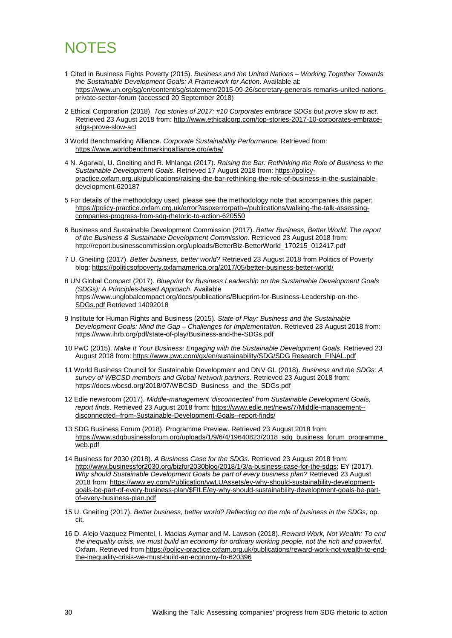## <span id="page-29-0"></span>**NOTES**

- <span id="page-29-1"></span>1 Cited in Business Fights Poverty (2015). *Business and the United Nations – Working Together Towards the Sustainable Development Goals: A Framework for Action*. Available at: [https://www.un.org/sg/en/content/sg/statement/2015-09-26/secretary-generals-remarks-united-nations](https://www.un.org/sg/en/content/sg/statement/2015-09-26/secretary-generals-remarks-united-nations-private-sector-forum)[private-sector-forum](https://www.un.org/sg/en/content/sg/statement/2015-09-26/secretary-generals-remarks-united-nations-private-sector-forum) (accessed 20 September 2018)
- <span id="page-29-2"></span>2 Ethical Corporation (2018). *Top stories of 2017: #10 Corporates embrace SDGs but prove slow to act*. Retrieved 23 August 2018 from: [http://www.ethicalcorp.com/top-stories-2017-10-corporates-embrace](http://www.ethicalcorp.com/top-stories-2017-10-corporates-embrace-sdgs-prove-slow-act)[sdgs-prove-slow-act](http://www.ethicalcorp.com/top-stories-2017-10-corporates-embrace-sdgs-prove-slow-act)
- <span id="page-29-3"></span>3 World Benchmarking Alliance. *Corporate Sustainability Performance*. Retrieved from: <https://www.worldbenchmarkingalliance.org/wba/>
- <span id="page-29-4"></span>4 N. Agarwal, U. Gneiting and R. Mhlanga (2017). *Raising the Bar: Rethinking the Role of Business in the Sustainable Development Goals*. Retrieved 17 August 2018 from: [https://policy](https://policy-practice.oxfam.org.uk/publications/raising-the-bar-rethinking-the-role-of-business-in-the-sustainable-development-620187)[practice.oxfam.org.uk/publications/raising-the-bar-rethinking-the-role-of-business-in-the-sustainable](https://policy-practice.oxfam.org.uk/publications/raising-the-bar-rethinking-the-role-of-business-in-the-sustainable-development-620187)[development-620187](https://policy-practice.oxfam.org.uk/publications/raising-the-bar-rethinking-the-role-of-business-in-the-sustainable-development-620187)
- <span id="page-29-5"></span>5 For details of the methodology used, please see the methodology note that accompanies this paper: [https://policy-practice.oxfam.org.uk/error?aspxerrorpath=/publications/walking-the-talk-assessing](https://policy-practice.oxfam.org.uk/error?aspxerrorpath=/publications/walking-the-talk-assessing-companies-progress-from-sdg-rhetoric-to-action-620550)[companies-progress-from-sdg-rhetoric-to-action-620550](https://policy-practice.oxfam.org.uk/error?aspxerrorpath=/publications/walking-the-talk-assessing-companies-progress-from-sdg-rhetoric-to-action-620550)
- <span id="page-29-6"></span>6 Business and Sustainable Development Commission (2017). *Better Business, Better World: The report of the Business & Sustainable Development Commission*. Retrieved 23 August 2018 from: [http://report.businesscommission.org/uploads/BetterBiz-BetterWorld\\_170215\\_012417.pdf](http://report.businesscommission.org/uploads/BetterBiz-BetterWorld_170215_012417.pdf)
- <span id="page-29-7"></span>7 U. Gneiting (2017). *Better business, better world?* Retrieved 23 August 2018 from Politics of Poverty blog:<https://politicsofpoverty.oxfamamerica.org/2017/05/better-business-better-world/>
- <span id="page-29-8"></span>8 UN Global Compact (2017). *Blueprint for Business Leadership on the Sustainable Development Goals (SDGs): A Principles-based Approach*. Available [https://www.unglobalcompact.org/docs/publications/Blueprint-for-Business-Leadership-on-the-](https://www.unglobalcompact.org/docs/publications/Blueprint-for-Business-Leadership-on-the-SDGs.pdf)[SDGs.pdf](https://www.unglobalcompact.org/docs/publications/Blueprint-for-Business-Leadership-on-the-SDGs.pdf) Retrieved 14092018
- <span id="page-29-9"></span>9 Institute for Human Rights and Business (2015). *State of Play: Business and the Sustainable Development Goals: Mind the Gap – Challenges for Implementation*. Retrieved 23 August 2018 from: <https://www.ihrb.org/pdf/state-of-play/Business-and-the-SDGs.pdf>
- <span id="page-29-10"></span>10 PwC (2015). *Make It Your Business: Engaging with the Sustainable Development Goals*. Retrieved 23 August 2018 from: [https://www.pwc.com/gx/en/sustainability/SDG/SDG Research\\_FINAL.pdf](https://www.pwc.com/gx/en/sustainability/SDG/SDG%20Research_FINAL.pdf)
- <span id="page-29-11"></span>11 World Business Council for Sustainable Development and DNV GL (2018). *Business and the SDGs: A survey of WBCSD members and Global Network partners*. Retrieved 23 August 2018 from: [https://docs.wbcsd.org/2018/07/WBCSD\\_Business\\_and\\_the\\_SDGs.pdf](https://docs.wbcsd.org/2018/07/WBCSD_Business_and_the_SDGs.pdf)
- <span id="page-29-12"></span>12 Edie newsroom (2017). *Middle-management 'disconnected' from Sustainable Development Goals, report finds*. Retrieved 23 August 2018 from: [https://www.edie.net/news/7/Middle-management-](https://www.edie.net/news/7/Middle-management--disconnected--from-Sustainable-Development-Goals--report-finds/) [disconnected--from-Sustainable-Development-Goals--report-finds/](https://www.edie.net/news/7/Middle-management--disconnected--from-Sustainable-Development-Goals--report-finds/)
- <span id="page-29-13"></span>13 SDG Business Forum (2018). Programme Preview. Retrieved 23 August 2018 from: [https://www.sdgbusinessforum.org/uploads/1/9/6/4/19640823/2018\\_sdg\\_business\\_forum\\_programme\\_](https://www.sdgbusinessforum.org/uploads/1/9/6/4/19640823/2018_sdg_business_forum_programme_web.pdf) [web.pdf](https://www.sdgbusinessforum.org/uploads/1/9/6/4/19640823/2018_sdg_business_forum_programme_web.pdf)
- <span id="page-29-14"></span>14 Business for 2030 (2018). *A Business Case for the SDGs*. Retrieved 23 August 2018 from: [http://www.businessfor2030.org/bizfor2030blog/2018/1/3/a-business-case-for-the-sdgs;](http://www.businessfor2030.org/bizfor2030blog/2018/1/3/a-business-case-for-the-sdgs) EY (2017). *Why should Sustainable Development Goals be part of every business plan?* Retrieved 23 August 2018 from: [https://www.ey.com/Publication/vwLUAssets/ey-why-should-sustainability-development](https://www.ey.com/Publication/vwLUAssets/ey-why-should-sustainability-development-goals-be-part-of-every-business-plan/$FILE/ey-why-should-sustainability-development-goals-be-part-of-every-business-plan.pdf)[goals-be-part-of-every-business-plan/\\$FILE/ey-why-should-sustainability-development-goals-be-part](https://www.ey.com/Publication/vwLUAssets/ey-why-should-sustainability-development-goals-be-part-of-every-business-plan/$FILE/ey-why-should-sustainability-development-goals-be-part-of-every-business-plan.pdf)[of-every-business-plan.pdf](https://www.ey.com/Publication/vwLUAssets/ey-why-should-sustainability-development-goals-be-part-of-every-business-plan/$FILE/ey-why-should-sustainability-development-goals-be-part-of-every-business-plan.pdf)
- <span id="page-29-15"></span>15 U. Gneiting (2017). *Better business, better world? Reflecting on the role of business in the SDGs*, op. cit.
- <span id="page-29-16"></span>16 D. Alejo Vazquez Pimentel, I. Macias Aymar and M. Lawson (2018). *Reward Work, Not Wealth: To end the inequality crisis, we must build an economy for ordinary working people, not the rich and powerful*. Oxfam. Retrieved from [https://policy-practice.oxfam.org.uk/publications/reward-work-not-wealth-to-end](https://policy-practice.oxfam.org.uk/publications/reward-work-not-wealth-to-end-the-inequality-crisis-we-must-build-an-economy-fo-620396)[the-inequality-crisis-we-must-build-an-economy-fo-620396](https://policy-practice.oxfam.org.uk/publications/reward-work-not-wealth-to-end-the-inequality-crisis-we-must-build-an-economy-fo-620396)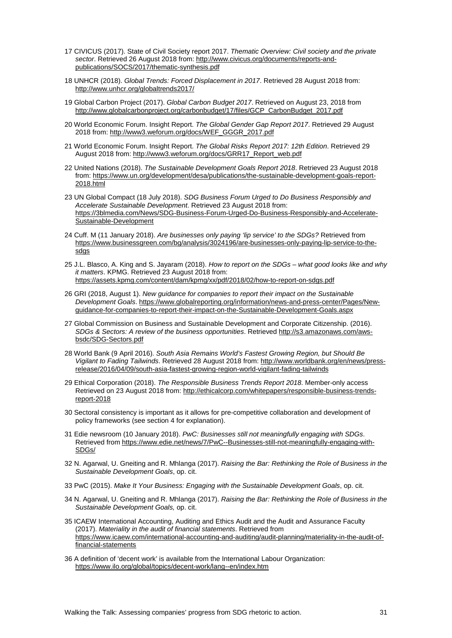- <span id="page-30-0"></span>17 CIVICUS (2017). State of Civil Society report 2017. *Thematic Overview: Civil society and the private sector*. Retrieved 26 August 2018 from: [http://www.civicus.org/documents/reports-and](http://www.civicus.org/documents/reports-and-publications/SOCS/2017/thematic-synthesis.pdf)[publications/SOCS/2017/thematic-synthesis.pdf](http://www.civicus.org/documents/reports-and-publications/SOCS/2017/thematic-synthesis.pdf)
- <span id="page-30-1"></span>18 UNHCR (2018). *Global Trends: Forced Displacement in 2017*. Retrieved 28 August 2018 from: <http://www.unhcr.org/globaltrends2017/>
- <span id="page-30-2"></span>19 Global Carbon Project (2017). *Global Carbon Budget 2017*. Retrieved on August 23, 2018 from [http://www.globalcarbonproject.org/carbonbudget/17/files/GCP\\_CarbonBudget\\_2017.pdf](http://www.globalcarbonproject.org/carbonbudget/17/files/GCP_CarbonBudget_2017.pdf)
- <span id="page-30-3"></span>20 World Economic Forum. Insight Report. *The Global Gender Gap Report 2017*. Retrieved 29 August 2018 from: [http://www3.weforum.org/docs/WEF\\_GGGR\\_2017.pdf](http://www3.weforum.org/docs/WEF_GGGR_2017.pdf)
- <span id="page-30-4"></span>21 World Economic Forum. Insight Report. *The Global Risks Report 2017: 12th Edition*. Retrieved 29 August 2018 from: [http://www3.weforum.org/docs/GRR17\\_Report\\_web.pdf](http://www3.weforum.org/docs/GRR17_Report_web.pdf)
- <span id="page-30-5"></span>22 United Nations (2018). *The Sustainable Development Goals Report 2018*. Retrieved 23 August 2018 from: [https://www.un.org/development/desa/publications/the-sustainable-development-goals-report-](https://www.un.org/development/desa/publications/the-sustainable-development-goals-report-2018.html)[2018.html](https://www.un.org/development/desa/publications/the-sustainable-development-goals-report-2018.html)
- <span id="page-30-6"></span>23 UN Global Compact (18 July 2018). *SDG Business Forum Urged to Do Business Responsibly and Accelerate Sustainable Development*. Retrieved 23 August 2018 from: [https://3blmedia.com/News/SDG-Business-Forum-Urged-Do-Business-Responsibly-and-Accelerate-](https://3blmedia.com/News/SDG-Business-Forum-Urged-Do-Business-Responsibly-and-Accelerate-Sustainable-Development)[Sustainable-Development](https://3blmedia.com/News/SDG-Business-Forum-Urged-Do-Business-Responsibly-and-Accelerate-Sustainable-Development)
- <span id="page-30-7"></span>24 Cuff. M (11 January 2018). *Are businesses only paying 'lip service' to the SDGs?* Retrieved from [https://www.businessgreen.com/bg/analysis/3024196/are-businesses-only-paying-lip-service-to-the](https://www.businessgreen.com/bg/analysis/3024196/are-businesses-only-paying-lip-service-to-the-sdgs)[sdgs](https://www.businessgreen.com/bg/analysis/3024196/are-businesses-only-paying-lip-service-to-the-sdgs)
- <span id="page-30-8"></span>25 J.L. Blasco, A. King and S. Jayaram (2018). *How to report on the SDGs – what good looks like and why it matters*. KPMG. Retrieved 23 August 2018 from: <https://assets.kpmg.com/content/dam/kpmg/xx/pdf/2018/02/how-to-report-on-sdgs.pdf>
- <span id="page-30-9"></span>26 GRI (2018, August 1). *New guidance for companies to report their impact on the Sustainable Development Goals*. [https://www.globalreporting.org/information/news-and-press-center/Pages/New](https://www.globalreporting.org/information/news-and-press-center/Pages/New-guidance-for-companies-to-report-their-impact-on-the-Sustainable-Development-Goals.aspx)[guidance-for-companies-to-report-their-impact-on-the-Sustainable-Development-Goals.aspx](https://www.globalreporting.org/information/news-and-press-center/Pages/New-guidance-for-companies-to-report-their-impact-on-the-Sustainable-Development-Goals.aspx)
- <span id="page-30-10"></span>27 Global Commission on Business and Sustainable Development and Corporate Citizenship. (2016). *SDGs & Sectors: A review of the business opportunities*. Retrieved [http://s3.amazonaws.com/aws](http://s3.amazonaws.com/aws-bsdc/SDG-Sectors.pdf)[bsdc/SDG-Sectors.pdf](http://s3.amazonaws.com/aws-bsdc/SDG-Sectors.pdf)
- <span id="page-30-11"></span>28 World Bank (9 April 2016). *South Asia Remains World's Fastest Growing Region, but Should Be Vigilant to Fading Tailwinds*. Retrieved 28 August 2018 from[: http://www.worldbank.org/en/news/press](http://www.worldbank.org/en/news/press-release/2016/04/09/south-asia-fastest-growing-region-world-vigilant-fading-tailwinds)[release/2016/04/09/south-asia-fastest-growing-region-world-vigilant-fading-tailwinds](http://www.worldbank.org/en/news/press-release/2016/04/09/south-asia-fastest-growing-region-world-vigilant-fading-tailwinds)
- <span id="page-30-12"></span>29 Ethical Corporation (2018). *The Responsible Business Trends Report 2018*. Member-only access Retrieved on 23 August 2018 from: [http://ethicalcorp.com/whitepapers/responsible-business-trends](http://ethicalcorp.com/whitepapers/responsible-business-trends-report-2018)[report-2018](http://ethicalcorp.com/whitepapers/responsible-business-trends-report-2018)
- <span id="page-30-13"></span>30 Sectoral consistency is important as it allows for pre-competitive collaboration and development of policy frameworks (see section 4 for explanation).
- <span id="page-30-14"></span>31 Edie newsroom (10 January 2018). *PwC: Businesses still not meaningfully engaging with SDGs*. Retrieved from [https://www.edie.net/news/7/PwC--Businesses-still-not-meaningfully-engaging-with-](https://www.edie.net/news/7/PwC--Businesses-still-not-meaningfully-engaging-with-SDGs/)[SDGs/](https://www.edie.net/news/7/PwC--Businesses-still-not-meaningfully-engaging-with-SDGs/)
- <span id="page-30-15"></span>32 N. Agarwal, U. Gneiting and R. Mhlanga (2017). *Raising the Bar: Rethinking the Role of Business in the Sustainable Development Goals*, op. cit.
- <span id="page-30-16"></span>33 PwC (2015). *Make It Your Business: Engaging with the Sustainable Development Goals*, op. cit.
- <span id="page-30-17"></span>34 N. Agarwal, U. Gneiting and R. Mhlanga (2017). *Raising the Bar: Rethinking the Role of Business in the Sustainable Development Goals,* op. cit.
- <span id="page-30-18"></span>35 ICAEW International Accounting, Auditing and Ethics Audit and the Audit and Assurance Faculty (2017). *Materiality in the audit of financial statements*. Retrieved from [https://www.icaew.com/international-accounting-and-auditing/audit-planning/materiality-in-the-audit-of](https://www.icaew.com/international-accounting-and-auditing/audit-planning/materiality-in-the-audit-of-financial-statements)[financial-statements](https://www.icaew.com/international-accounting-and-auditing/audit-planning/materiality-in-the-audit-of-financial-statements)
- <span id="page-30-19"></span>36 A definition of 'decent work' is available from the International Labour Organization: <https://www.ilo.org/global/topics/decent-work/lang--en/index.htm>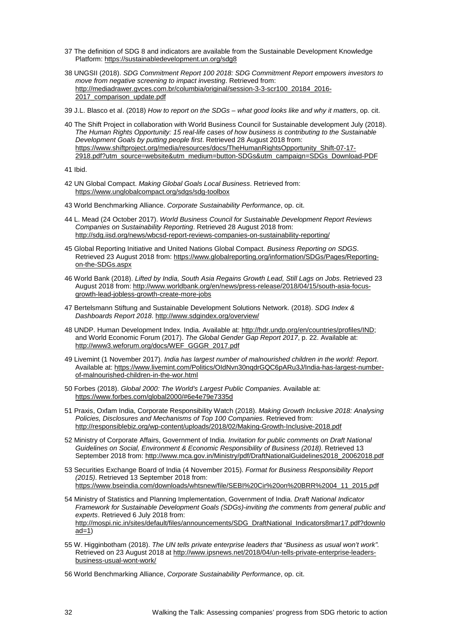- <span id="page-31-0"></span>37 The definition of SDG 8 and indicators are available from the Sustainable Development Knowledge Platform:<https://sustainabledevelopment.un.org/sdg8>
- <span id="page-31-1"></span>38 UNGSII (2018). *SDG Commitment Report 100 2018: SDG Commitment Report empowers investors to move from negative screening to impact investing*. Retrieved from: [http://mediadrawer.gvces.com.br/columbia/original/session-3-3-scr100\\_20184\\_2016-](http://mediadrawer.gvces.com.br/columbia/original/session-3-3-scr100_20184_2016-2017_comparison_update.pdf) [2017\\_comparison\\_update.pdf](http://mediadrawer.gvces.com.br/columbia/original/session-3-3-scr100_20184_2016-2017_comparison_update.pdf)
- <span id="page-31-2"></span>39 J.L. Blasco et al. (2018) *How to report on the SDGs – what good looks like and why it matters*, op. cit.
- <span id="page-31-3"></span>40 The Shift Project in collaboration with World Business Council for Sustainable development July (2018). *The Human Rights Opportunity: 15 real-life cases of how business is contributing to the Sustainable Development Goals by putting people first*. Retrieved 28 August 2018 from: [https://www.shiftproject.org/media/resources/docs/TheHumanRightsOpportunity\\_Shift-07-17-](https://www.shiftproject.org/media/resources/docs/TheHumanRightsOpportunity_Shift-07-17-2918.pdf?utm_source=website&utm_medium=button-SDGs&utm_campaign=SDGs_Download-PDF) [2918.pdf?utm\\_source=website&utm\\_medium=button-SDGs&utm\\_campaign=SDGs\\_Download-PDF](https://www.shiftproject.org/media/resources/docs/TheHumanRightsOpportunity_Shift-07-17-2918.pdf?utm_source=website&utm_medium=button-SDGs&utm_campaign=SDGs_Download-PDF)

<span id="page-31-4"></span>41 Ibid.

- <span id="page-31-5"></span>42 UN Global Compact. *Making Global Goals Local Business*. Retrieved from: <https://www.unglobalcompact.org/sdgs/sdg-toolbox>
- <span id="page-31-6"></span>43 World Benchmarking Alliance. *Corporate Sustainability Performance*, op. cit.
- <span id="page-31-7"></span>44 L. Mead (24 October 2017). *World Business Council for Sustainable Development Report Reviews Companies on Sustainability Reporting*. Retrieved 28 August 2018 from: <http://sdg.iisd.org/news/wbcsd-report-reviews-companies-on-sustainability-reporting/>
- <span id="page-31-8"></span>45 Global Reporting Initiative and United Nations Global Compact. *Business Reporting on SDGS*. Retrieved 23 August 2018 from: [https://www.globalreporting.org/information/SDGs/Pages/Reporting](https://www.globalreporting.org/information/SDGs/Pages/Reporting-on-the-SDGs.aspx)[on-the-SDGs.aspx](https://www.globalreporting.org/information/SDGs/Pages/Reporting-on-the-SDGs.aspx)
- <span id="page-31-9"></span>46 World Bank (2018). *Lifted by India, South Asia Regains Growth Lead, Still Lags on Jobs*. Retrieved 23 August 2018 from: [http://www.worldbank.org/en/news/press-release/2018/04/15/south-asia-focus](http://www.worldbank.org/en/news/press-release/2018/04/15/south-asia-focus-growth-lead-jobless-growth-create-more-jobs)[growth-lead-jobless-growth-create-more-jobs](http://www.worldbank.org/en/news/press-release/2018/04/15/south-asia-focus-growth-lead-jobless-growth-create-more-jobs)
- <span id="page-31-10"></span>47 Bertelsmann Stiftung and Sustainable Development Solutions Network. (2018). *SDG Index & Dashboards Report 2018*.<http://www.sdgindex.org/overview/>
- <span id="page-31-11"></span>48 UNDP. Human Development Index. India. Available at: [http://hdr.undp.org/en/countries/profiles/IND;](http://hdr.undp.org/en/countries/profiles/IND) and World Economic Forum (2017). *The Global Gender Gap Report 2017*, p. 22. Available at: [http://www3.weforum.org/docs/WEF\\_GGGR\\_2017.pdf](http://www3.weforum.org/docs/WEF_GGGR_2017.pdf)
- <span id="page-31-12"></span>49 Livemint (1 November 2017). *India has largest number of malnourished children in the world: Report*. Available at: [https://www.livemint.com/Politics/OIdNvn30nqdrGQC6pARu3J/India-has-largest-number](https://www.livemint.com/Politics/OIdNvn30nqdrGQC6pARu3J/India-has-largest-number-of-malnourished-children-in-the-wor.html)[of-malnourished-children-in-the-wor.html](https://www.livemint.com/Politics/OIdNvn30nqdrGQC6pARu3J/India-has-largest-number-of-malnourished-children-in-the-wor.html)
- <span id="page-31-13"></span>50 Forbes (2018). *Global 2000: The World's Largest Public Companies*. Available at: [https://www.forbes.com/global2000/#6e4e79e7335d](https://www.forbes.com/global2000/%236e4e79e7335d)
- <span id="page-31-14"></span>51 Praxis, Oxfam India, Corporate Responsibility Watch (2018). *Making Growth Inclusive 2018: Analysing Policies, Disclosures and Mechanisms of Top 100 Companies*. Retrieved from: <http://responsiblebiz.org/wp-content/uploads/2018/02/Making-Growth-Inclusive-2018.pdf>
- <span id="page-31-15"></span>52 Ministry of Corporate Affairs, Government of India. *Invitation for public comments on Draft National Guidelines on Social, Environment & Economic Responsibility of Business (2018)*. Retrieved 13 September 2018 from: [http://www.mca.gov.in/Ministry/pdf/DraftNationalGuidelines2018\\_20062018.pdf](http://www.mca.gov.in/Ministry/pdf/DraftNationalGuidelines2018_20062018.pdf)
- <span id="page-31-16"></span>53 Securities Exchange Board of India (4 November 2015). *Format for Business Responsibility Report (2015)*. Retrieved 13 September 2018 from: [https://www.bseindia.com/downloads/whtsnew/file/SEBI%20Cir%20on%20BRR%2004\\_11\\_2015.pdf](https://www.bseindia.com/downloads/whtsnew/file/SEBI%20Cir%20on%20BRR%2004_11_2015.pdf)
- <span id="page-31-17"></span>54 Ministry of Statistics and Planning Implementation, Government of India. *Draft National Indicator Framework for Sustainable Development Goals (SDGs)-inviting the comments from general public and experts*. Retrieved 6 July 2018 from: [http://mospi.nic.in/sites/default/files/announcements/SDG\\_DraftNational\\_Indicators8mar17.pdf?downlo](http://mospi.nic.in/sites/default/files/announcements/SDG_DraftNational_Indicators8mar17.pdf?download=1)  $ad=1)$
- <span id="page-31-18"></span>55 W. Higginbotham (2018). *The UN tells private enterprise leaders that "Business as usual won't work".* Retrieved on 23 August 2018 at [http://www.ipsnews.net/2018/04/un-tells-private-enterprise-leaders](http://www.ipsnews.net/2018/04/un-tells-private-enterprise-leaders-business-usual-wont-work/)[business-usual-wont-work/](http://www.ipsnews.net/2018/04/un-tells-private-enterprise-leaders-business-usual-wont-work/)
- <span id="page-31-19"></span>56 World Benchmarking Alliance, *Corporate Sustainability Performance*, op. cit.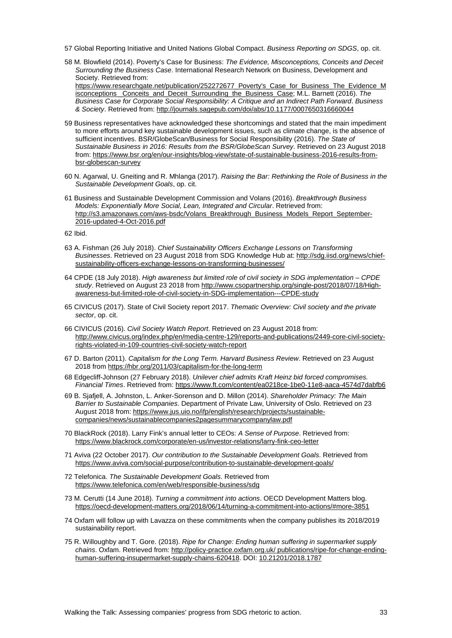- <span id="page-32-0"></span>57 Global Reporting Initiative and United Nations Global Compact. *Business Reporting on SDGS*, op. cit.
- <span id="page-32-1"></span>58 M. Blowfield (2014). Poverty's Case for Business: *The Evidence, Misconceptions, Conceits and Deceit Surrounding the Business Case*. International Research Network on Business, Development and Society. Retrieved from: [https://www.researchgate.net/publication/252272677\\_Poverty's\\_Case\\_for\\_Business\\_The\\_Evidence\\_M](https://www.researchgate.net/publication/252272677_Poverty) [isconceptions \\_Conceits\\_and\\_Deceit\\_Surrounding\\_the\\_Business\\_Case;](https://www.researchgate.net/publication/252272677_Poverty) M.L. Barnett (2016). *The Business Case for Corporate Social Responsibility: A Critique and an Indirect Path Forward*. *Business & Society*. Retrieved from:<http://journals.sagepub.com/doi/abs/10.1177/0007650316660044>
- <span id="page-32-2"></span>59 Business representatives have acknowledged these shortcomings and stated that the main impediment to more efforts around key sustainable development issues, such as climate change, is the absence of sufficient incentives. BSR/GlobeScan/Business for Social Responsibility (2016). *The State of Sustainable Business in 2016: Results from the BSR/GlobeScan Survey*. Retrieved on 23 August 2018 from: [https://www.bsr.org/en/our-insights/blog-view/state-of-sustainable-business-2016-results-from](https://www.bsr.org/en/our-insights/blog-view/state-of-sustainable-business-2016-results-from-bsr-globescan-survey)[bsr-globescan-survey](https://www.bsr.org/en/our-insights/blog-view/state-of-sustainable-business-2016-results-from-bsr-globescan-survey)
- <span id="page-32-3"></span>60 N. Agarwal, U. Gneiting and R. Mhlanga (2017). *Raising the Bar: Rethinking the Role of Business in the Sustainable Development Goals*, op. cit.
- <span id="page-32-4"></span>61 Business and Sustainable Development Commission and Volans (2016). *Breakthrough Business Models: Exponentially More Social, Lean, Integrated and Circular*. Retrieved from: [http://s3.amazonaws.com/aws-bsdc/Volans\\_Breakthrough\\_Business\\_Models\\_Report\\_September-](http://s3.amazonaws.com/aws-bsdc/Volans_Breakthrough_Business_Models_Report_September-2016-updated-4-Oct-2016.pdf)[2016-updated-4-Oct-2016.pdf](http://s3.amazonaws.com/aws-bsdc/Volans_Breakthrough_Business_Models_Report_September-2016-updated-4-Oct-2016.pdf)

<span id="page-32-5"></span>62 Ibid.

- <span id="page-32-6"></span>63 A. Fishman (26 July 2018). *Chief Sustainability Officers Exchange Lessons on Transforming Businesses*. Retrieved on 23 August 2018 from SDG Knowledge Hub at[: http://sdg.iisd.org/news/chief](http://sdg.iisd.org/news/chief-sustainability-officers-exchange-lessons-on-transforming-businesses/)[sustainability-officers-exchange-lessons-on-transforming-businesses/](http://sdg.iisd.org/news/chief-sustainability-officers-exchange-lessons-on-transforming-businesses/)
- <span id="page-32-7"></span>64 CPDE (18 July 2018). *High awareness but limited role of civil society in SDG implementation – CPDE study*. Retrieved on August 23 2018 from [http://www.csopartnership.org/single-post/2018/07/18/High](http://www.csopartnership.org/single-post/2018/07/18/High-awareness-but-limited-role-of-civil-society-in-SDG-implementation---CPDE-study)[awareness-but-limited-role-of-civil-society-in-SDG-implementation---CPDE-study](http://www.csopartnership.org/single-post/2018/07/18/High-awareness-but-limited-role-of-civil-society-in-SDG-implementation---CPDE-study)
- <span id="page-32-8"></span>65 CIVICUS (2017). State of Civil Society report 2017. *Thematic Overview: Civil society and the private sector*, op. cit.
- <span id="page-32-9"></span>66 CIVICUS (2016). *Civil Society Watch Report*. Retrieved on 23 August 2018 from: [http://www.civicus.org/index.php/en/media-centre-129/reports-and-publications/2449-core-civil-society](http://www.civicus.org/index.php/en/media-centre-129/reports-and-publications/2449-core-civil-society-rights-violated-in-109-countries-civil-society-watch-report)[rights-violated-in-109-countries-civil-society-watch-report](http://www.civicus.org/index.php/en/media-centre-129/reports-and-publications/2449-core-civil-society-rights-violated-in-109-countries-civil-society-watch-report)
- <span id="page-32-10"></span>67 D. Barton (2011). *Capitalism for the Long Term. Harvard Business Review*. Retrieved on 23 August 2018 from <https://hbr.org/2011/03/capitalism-for-the-long-term>
- <span id="page-32-11"></span>68 Edgecliff-Johnson (27 February 2018). *Unilever chief admits Kraft Heinz bid forced compromises. Financial Times*. Retrieved from: <https://www.ft.com/content/ea0218ce-1be0-11e8-aaca-4574d7dabfb6>
- <span id="page-32-12"></span>69 B. Sjafjell, A. Johnston, L. Anker-Sorenson and D. Millon (2014). *Shareholder Primacy: The Main Barrier to Sustainable Companies*. Department of Private Law, University of Oslo. Retrieved on 23 August 2018 from: [https://www.jus.uio.no/ifp/english/research/projects/sustainable](https://www.jus.uio.no/ifp/english/research/projects/sustainable-companies/news/sustainablecompanies2pagesummarycompanylaw.pdf)[companies/news/sustainablecompanies2pagesummarycompanylaw.pdf](https://www.jus.uio.no/ifp/english/research/projects/sustainable-companies/news/sustainablecompanies2pagesummarycompanylaw.pdf)
- <span id="page-32-13"></span>70 BlackRock (2018). Larry Fink's annual letter to CEOs: *A Sense of Purpose*. Retrieved from: <https://www.blackrock.com/corporate/en-us/investor-relations/larry-fink-ceo-letter>
- <span id="page-32-14"></span>71 Aviva (22 October 2017). *Our contribution to the Sustainable Development Goals*. Retrieved from <https://www.aviva.com/social-purpose/contribution-to-sustainable-development-goals/>
- <span id="page-32-15"></span>72 Telefonica. *The Sustainable Development Goals*. Retrieved from <https://www.telefonica.com/en/web/responsible-business/sdg>
- <span id="page-32-16"></span>73 M. Cerutti (14 June 2018). *Turning a commitment into actions*. OECD Development Matters blog. <https://oecd-development-matters.org/2018/06/14/turning-a-commitment-into-actions/#more-3851>
- <span id="page-32-17"></span>74 Oxfam will follow up with Lavazza on these commitments when the company publishes its 2018/2019 sustainability report.
- <span id="page-32-18"></span>75 R. Willoughby and T. Gore. (2018). *Ripe for Change: Ending human suffering in supermarket supply chains*. Oxfam. Retrieved from: [http://policy-practice.oxfam.org.uk/ publications/ripe-for-change-ending](http://policy-practice.oxfam.org.uk/%20publications/ripe-for-change-ending-human-suffering-insupermarket-supply-chains-620418)[human-suffering-insupermarket-supply-chains-620418.](http://policy-practice.oxfam.org.uk/%20publications/ripe-for-change-ending-human-suffering-insupermarket-supply-chains-620418) DOI: [10.21201/2018.1787](http://dx.doi.org/10.21201/2018.1787)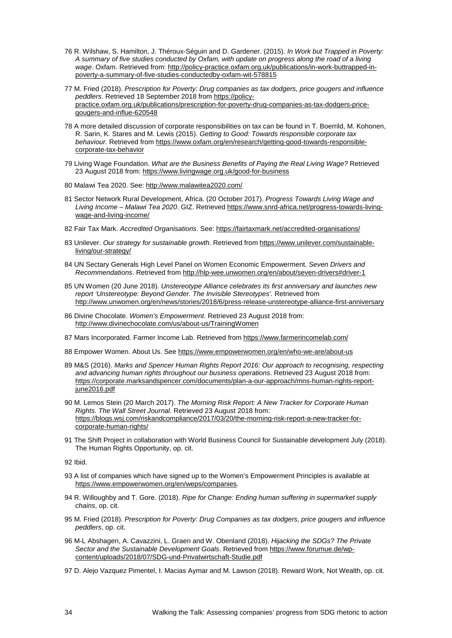- <span id="page-33-0"></span>76 R. Wilshaw, S. Hamilton, J. Théroux-Séguin and D. Gardener. (2015). *In Work but Trapped in Poverty: A summary of five studies conducted by Oxfam, with update on progress along the road of a living wage*. Oxfam. Retrieved from: [http://policy-practice.oxfam.org.uk/publications/in-work-buttrapped-in](http://policy-practice.oxfam.org.uk/publications/in-work-buttrapped-in-poverty-a-summary-of-five-studies-conductedby-oxfam-wit-578815)[poverty-a-summary-of-five-studies-conductedby-oxfam-wit-578815](http://policy-practice.oxfam.org.uk/publications/in-work-buttrapped-in-poverty-a-summary-of-five-studies-conductedby-oxfam-wit-578815)
- <span id="page-33-1"></span>77 M. Fried (2018). *Prescription for Poverty: Drug companies as tax dodgers, price gougers and influence peddlers*. Retrieved 18 September 2018 from [https://policy](https://policy-practice.oxfam.org.uk/publications/prescription-for-poverty-drug-companies-as-tax-dodgers-price-gougers-and-influe-620548)[practice.oxfam.org.uk/publications/prescription-for-poverty-drug-companies-as-tax-dodgers-price](https://policy-practice.oxfam.org.uk/publications/prescription-for-poverty-drug-companies-as-tax-dodgers-price-gougers-and-influe-620548)[gougers-and-influe-620548](https://policy-practice.oxfam.org.uk/publications/prescription-for-poverty-drug-companies-as-tax-dodgers-price-gougers-and-influe-620548)
- <span id="page-33-2"></span>78 A more detailed discussion of corporate responsibilities on tax can be found in T. Boerrild, M. Kohonen, R. Sarin, K. Stares and M. Lewis (2015). *Getting to Good: Towards responsible corporate tax behaviour.* Retrieved from [https://www.oxfam.org/en/research/getting-good-towards-responsible](https://www.oxfam.org/en/research/getting-good-towards-responsible-corporate-tax-behavior)[corporate-tax-behavior](https://www.oxfam.org/en/research/getting-good-towards-responsible-corporate-tax-behavior)
- <span id="page-33-3"></span>79 Living Wage Foundation. *What are the Business Benefits of Paying the Real Living Wage?* Retrieved 23 August 2018 from:<https://www.livingwage.org.uk/good-for-business>
- <span id="page-33-4"></span>80 Malawi Tea 2020. See:<http://www.malawitea2020.com/>
- <span id="page-33-5"></span>81 Sector Network Rural Development, Africa. (20 October 2017). *Progress Towards Living Wage and Living Income – Malawi Tea 2020*. GIZ. Retrieved [https://www.snrd-africa.net/progress-towards-living](https://www.snrd-africa.net/progress-towards-living-wage-and-living-income/)[wage-and-living-income/](https://www.snrd-africa.net/progress-towards-living-wage-and-living-income/)
- <span id="page-33-6"></span>82 Fair Tax Mark. *Accredited Organisations*. See[: https://fairtaxmark.net/accredited-organisations/](https://fairtaxmark.net/accredited-organisations/)
- <span id="page-33-7"></span>83 Unilever. *Our strategy for sustainable growth*. Retrieved from [https://www.unilever.com/sustainable](https://www.unilever.com/sustainable-living/our-strategy/)[living/our-strategy/](https://www.unilever.com/sustainable-living/our-strategy/)
- <span id="page-33-8"></span>84 UN Sectary Generals High Level Panel on Women Economic Empowerment. *Seven Drivers and Recommendations*. Retrieved from <http://hlp-wee.unwomen.org/en/about/seven-drivers#driver-1>
- <span id="page-33-9"></span>85 UN Women (20 June 2018). *Unstereotype Alliance celebrates its first anniversary and launches new report 'Unstereotype: Beyond Gender. The Invisible Stereotypes'.* Retrieved from <http://www.unwomen.org/en/news/stories/2018/6/press-release-unstereotype-alliance-first-anniversary>
- <span id="page-33-10"></span>86 Divine Chocolate. *Women's Empowerment*. Retrieved 23 August 2018 from: <http://www.divinechocolate.com/us/about-us/TrainingWomen>
- <span id="page-33-11"></span>87 Mars Incorporated. Farmer Income Lab. Retrieved from <https://www.farmerincomelab.com/>
- <span id="page-33-12"></span>88 Empower Women. About Us. Se[e https://www.empowerwomen.org/en/who-we-are/about-us](https://www.empowerwomen.org/en/who-we-are/about-us)
- <span id="page-33-13"></span>89 M&S (2016). *Marks and Spencer Human Rights Report 2016: Our approach to recognising, respecting and advancing human rights throughout our business operations*. Retrieved 23 August 2018 from: [https://corporate.marksandspencer.com/documents/plan-a-our-approach/mns-human-rights-report](https://corporate.marksandspencer.com/documents/plan-a-our-approach/mns-human-rights-report-june2016.pdf)[june2016.pdf](https://corporate.marksandspencer.com/documents/plan-a-our-approach/mns-human-rights-report-june2016.pdf)
- <span id="page-33-14"></span>90 M. Lemos Stein (20 March 2017). *The Morning Risk Report: A New Tracker for Corporate Human Rights. The Wall Street Journal*. Retrieved 23 August 2018 from: [https://blogs.wsj.com/riskandcompliance/2017/03/20/the-morning-risk-report-a-new-tracker-for](https://blogs.wsj.com/riskandcompliance/2017/03/20/the-morning-risk-report-a-new-tracker-for-corporate-human-rights/)[corporate-human-rights/](https://blogs.wsj.com/riskandcompliance/2017/03/20/the-morning-risk-report-a-new-tracker-for-corporate-human-rights/)
- <span id="page-33-15"></span>91 The Shift Project in collaboration with World Business Council for Sustainable development July (2018). The Human Rights Opportunity, op. cit.

<span id="page-33-16"></span>92 Ibid.

- <span id="page-33-17"></span>93 A list of companies which have signed up to the Women's Empowerment Principles is available at [https://www.empowerwomen.org/en/weps/companies.](https://www.empowerwomen.org/en/weps/companies)
- <span id="page-33-18"></span>94 R. Willoughby and T. Gore. (2018). *Ripe for Change: Ending human suffering in supermarket supply chains*, op. cit.
- <span id="page-33-19"></span>95 M. Fried (2018). *Prescription for Poverty: Drug Companies as tax dodgers, price gougers and influence peddlers*, op. cit.
- <span id="page-33-20"></span>96 M-L Abshagen, A. Cavazzini, L. Graen and W. Obenland (2018). *Hijacking the SDGs? The Private Sector and the Sustainable Development Goals*. Retrieved from [https://www.forumue.de/wp](https://www.forumue.de/wp-content/uploads/2018/07/SDG-und-Privatwirtschaft-Studie.pdf)[content/uploads/2018/07/SDG-und-Privatwirtschaft-Studie.pdf](https://www.forumue.de/wp-content/uploads/2018/07/SDG-und-Privatwirtschaft-Studie.pdf)
- <span id="page-33-21"></span>97 D. Alejo Vazquez Pimentel, I. Macias Aymar and M. Lawson (2018). Reward Work, Not Wealth, op. cit.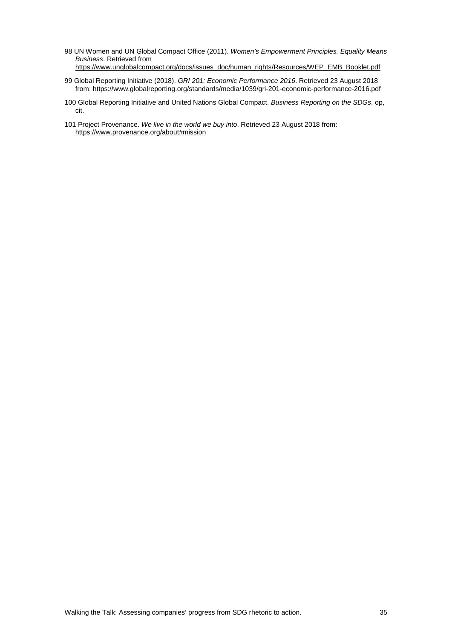- <span id="page-34-0"></span>98 UN Women and UN Global Compact Office (2011). *Women's Empowerment Principles. Equality Means Business*. Retrieved from [https://www.unglobalcompact.org/docs/issues\\_doc/human\\_rights/Resources/WEP\\_EMB\\_Booklet.pdf](https://www.unglobalcompact.org/docs/issues_doc/human_rights/Resources/WEP_EMB_Booklet.pdf)
- <span id="page-34-1"></span>99 Global Reporting Initiative (2018). *GRI 201: Economic Performance 2016*. Retrieved 23 August 2018 from:<https://www.globalreporting.org/standards/media/1039/gri-201-economic-performance-2016.pdf>
- <span id="page-34-2"></span>100 Global Reporting Initiative and United Nations Global Compact. *Business Reporting on the SDGs*, op, cit.
- <span id="page-34-3"></span>101 Project Provenance. *We live in the world we buy into*. Retrieved 23 August 2018 from: <https://www.provenance.org/about#mission>